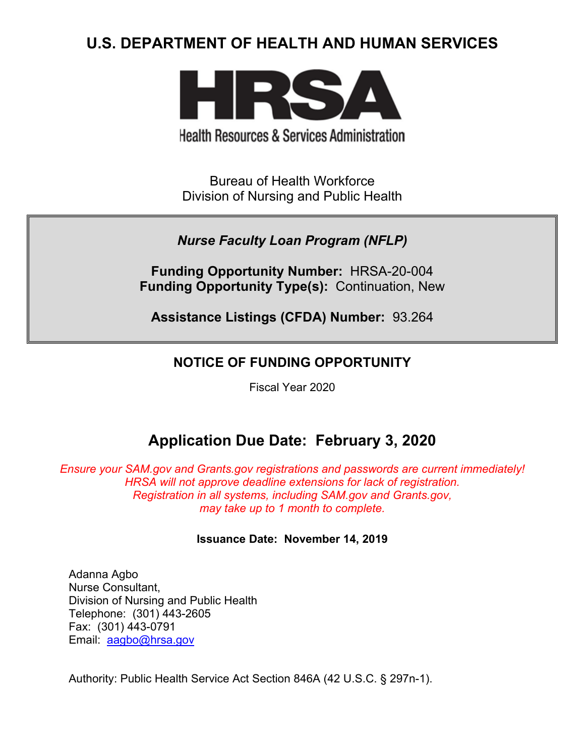# **U.S. DEPARTMENT OF HEALTH AND HUMAN SERVICES**



**Health Resources & Services Administration** 

Bureau of Health Workforce Division of Nursing and Public Health

## *Nurse Faculty Loan Program (NFLP)*

**Funding Opportunity Number:** HRSA-20-004 **Funding Opportunity Type(s):** Continuation, New

**Assistance Listings (CFDA) Number:** 93.264

## **NOTICE OF FUNDING OPPORTUNITY**

Fiscal Year 2020

# **Application Due Date: February 3, 2020**

*Ensure your SAM.gov and Grants.gov registrations and passwords are current immediately! HRSA will not approve deadline extensions for lack of registration. Registration in all systems, including SAM.gov and Grants.gov, may take up to 1 month to complete.*

## **Issuance Date:****November 14, 2019**

Adanna Agbo Nurse Consultant, Division of Nursing and Public Health Telephone: (301) 443-2605 Fax: (301) 443-0791 Email: [aagbo@hrsa.gov](mailto:aagbo@hrsa.gov)

Authority: Public Health Service Act Section 846A (42 U.S.C. § 297n-1).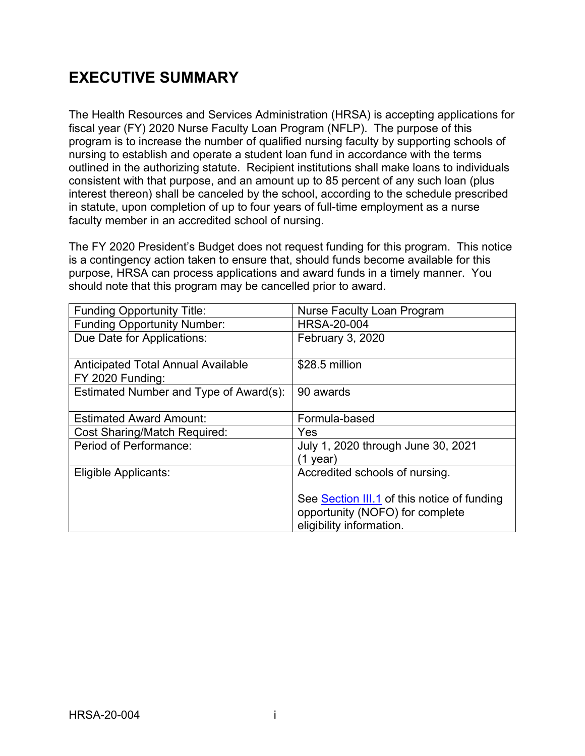# **EXECUTIVE SUMMARY**

The Health Resources and Services Administration (HRSA) is accepting applications for fiscal year (FY) 2020 Nurse Faculty Loan Program (NFLP). The purpose of this program is to increase the number of qualified nursing faculty by supporting schools of nursing to establish and operate a student loan fund in accordance with the terms outlined in the authorizing statute. Recipient institutions shall make loans to individuals consistent with that purpose, and an amount up to 85 percent of any such loan (plus interest thereon) shall be canceled by the school, according to the schedule prescribed in statute, upon completion of up to four years of full-time employment as a nurse faculty member in an accredited school of nursing.

The FY 2020 President's Budget does not request funding for this program. This notice is a contingency action taken to ensure that, should funds become available for this purpose, HRSA can process applications and award funds in a timely manner. You should note that this program may be cancelled prior to award.

| <b>Funding Opportunity Title:</b>                             | <b>Nurse Faculty Loan Program</b>              |
|---------------------------------------------------------------|------------------------------------------------|
| <b>Funding Opportunity Number:</b>                            | <b>HRSA-20-004</b>                             |
| Due Date for Applications:                                    | February 3, 2020                               |
| <b>Anticipated Total Annual Available</b><br>FY 2020 Funding: | \$28.5 million                                 |
| Estimated Number and Type of Award(s):                        | 90 awards                                      |
| <b>Estimated Award Amount:</b>                                | Formula-based                                  |
| <b>Cost Sharing/Match Required:</b>                           | Yes                                            |
| Period of Performance:                                        | July 1, 2020 through June 30, 2021<br>(1 year) |
| Eligible Applicants:                                          | Accredited schools of nursing.                 |
|                                                               | See Section III.1 of this notice of funding    |
|                                                               | opportunity (NOFO) for complete                |
|                                                               | eligibility information.                       |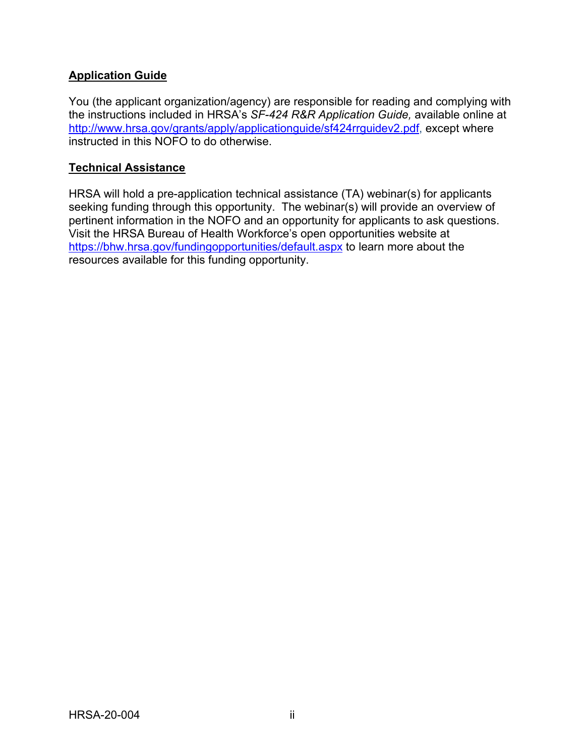## **Application Guide**

You (the applicant organization/agency) are responsible for reading and complying with the instructions included in HRSA's *SF-424 R&R Application Guide,* available online at [http://www.hrsa.gov/grants/apply/applicationguide/sf424rrguidev2.pdf,](http://www.hrsa.gov/grants/apply/applicationguide/sf424rrguidev2.pdf) except where instructed in this NOFO to do otherwise.

### **Technical Assistance**

HRSA will hold a pre-application technical assistance (TA) webinar(s) for applicants seeking funding through this opportunity. The webinar(s) will provide an overview of pertinent information in the NOFO and an opportunity for applicants to ask questions. Visit the HRSA Bureau of Health Workforce's open opportunities website at <https://bhw.hrsa.gov/fundingopportunities/default.aspx> to learn more about the resources available for this funding opportunity.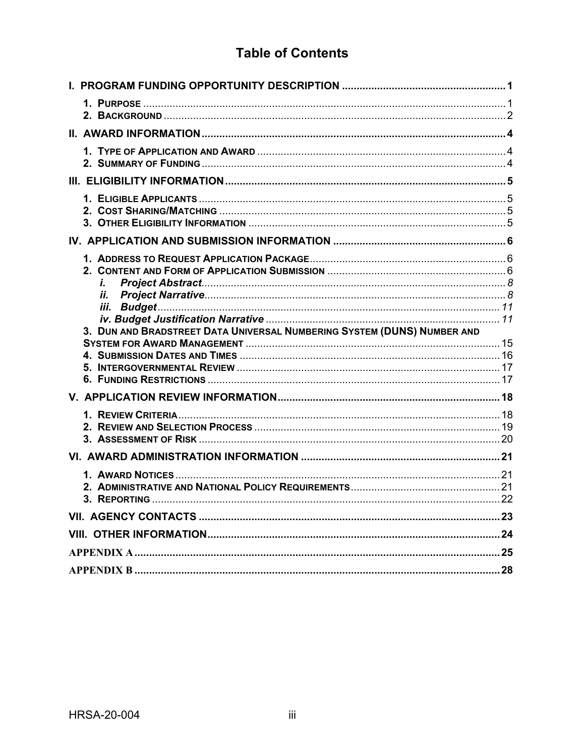## **Table of Contents**

| i.<br>Н.                                                                |  |
|-------------------------------------------------------------------------|--|
| 3. DUN AND BRADSTREET DATA UNIVERSAL NUMBERING SYSTEM (DUNS) NUMBER AND |  |
|                                                                         |  |
|                                                                         |  |
|                                                                         |  |
|                                                                         |  |
|                                                                         |  |
|                                                                         |  |
|                                                                         |  |
|                                                                         |  |
|                                                                         |  |
|                                                                         |  |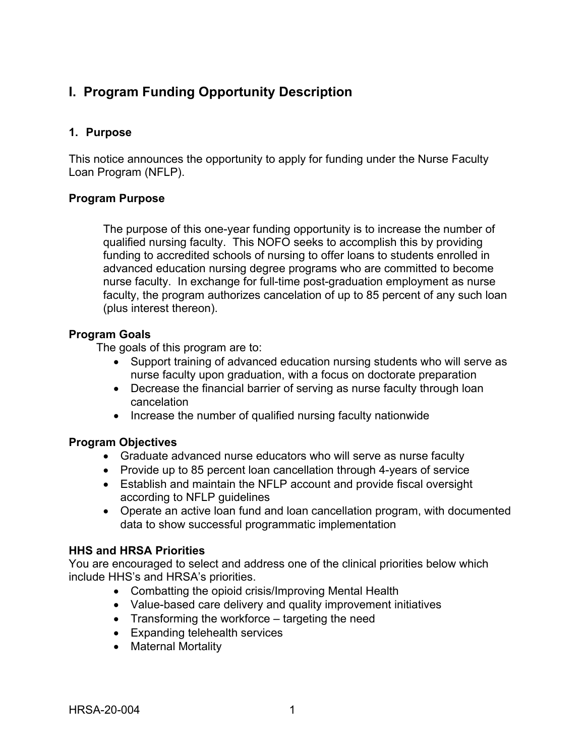## <span id="page-4-0"></span>**I. Program Funding Opportunity Description**

### <span id="page-4-1"></span>**1. Purpose**

This notice announces the opportunity to apply for funding under the Nurse Faculty Loan Program (NFLP).

### **Program Purpose**

The purpose of this one-year funding opportunity is to increase the number of qualified nursing faculty. This NOFO seeks to accomplish this by providing funding to accredited schools of nursing to offer loans to students enrolled in advanced education nursing degree programs who are committed to become nurse faculty. In exchange for full-time post-graduation employment as nurse faculty, the program authorizes cancelation of up to 85 percent of any such loan (plus interest thereon).

#### **Program Goals**

The goals of this program are to:

- Support training of advanced education nursing students who will serve as nurse faculty upon graduation, with a focus on doctorate preparation
- Decrease the financial barrier of serving as nurse faculty through loan cancelation
- Increase the number of qualified nursing faculty nationwide

#### **Program Objectives**

- Graduate advanced nurse educators who will serve as nurse faculty
- Provide up to 85 percent loan cancellation through 4-years of service
- Establish and maintain the NFLP account and provide fiscal oversight according to NFLP guidelines
- Operate an active loan fund and loan cancellation program, with documented data to show successful programmatic implementation

#### **HHS and HRSA Priorities**

You are encouraged to select and address one of the clinical priorities below which include HHS's and HRSA's priorities.

- Combatting the opioid crisis/Improving Mental Health
- Value-based care delivery and quality improvement initiatives
- Transforming the workforce targeting the need
- Expanding telehealth services
- Maternal Mortality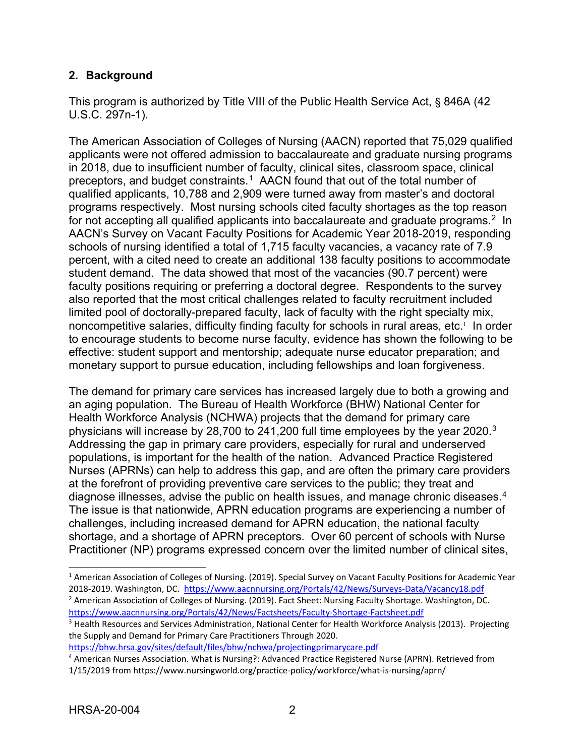## <span id="page-5-0"></span>**2. Background**

This program is authorized by Title VIII of the Public Health Service Act, § 846A (42 U.S.C. 297n-1).

The American Association of Colleges of Nursing (AACN) reported that 75,029 qualified applicants were not offered admission to baccalaureate and graduate nursing programs in 2018, due to insufficient number of faculty, clinical sites, classroom space, clinical preceptors, and budget constraints.<sup>[1](#page-5-1)</sup> AACN found that out of the total number of qualified applicants, 10,788 and 2,909 were turned away from master's and doctoral programs respectively. Most nursing schools cited faculty shortages as the top reason for not accepting all qualified applicants into baccalaureate and graduate programs. $2 \ln$  $2 \ln$ AACN's Survey on Vacant Faculty Positions for Academic Year 2018-2019, responding schools of nursing identified a total of 1,715 faculty vacancies, a vacancy rate of 7.9 percent, with a cited need to create an additional 138 faculty positions to accommodate student demand. The data showed that most of the vacancies (90.7 percent) were faculty positions requiring or preferring a doctoral degree. Respondents to the survey also reported that the most critical challenges related to faculty recruitment included limited pool of doctorally-prepared faculty, lack of faculty with the right specialty mix, noncompetitive salaries, difficulty finding faculty for schools in rural areas, etc.<sup>1</sup> In order to encourage students to become nurse faculty, evidence has shown the following to be effective: student support and mentorship; adequate nurse educator preparation; and monetary support to pursue education, including fellowships and loan forgiveness.

The demand for primary care services has increased largely due to both a growing and an aging population. The Bureau of Health Workforce (BHW) National Center for Health Workforce Analysis (NCHWA) projects that the demand for primary care physicians will increase by 28,700 to 241,200 full time employees by the year 2020.[3](#page-5-3) Addressing the gap in primary care providers, especially for rural and underserved populations, is important for the health of the nation. Advanced Practice Registered Nurses (APRNs) can help to address this gap, and are often the primary care providers at the forefront of providing preventive care services to the public; they treat and diagnose illnesses, advise the public on health issues, and manage chronic diseases.<sup>[4](#page-5-4)</sup> The issue is that nationwide, APRN education programs are experiencing a number of challenges, including increased demand for APRN education, the national faculty shortage, and a shortage of APRN preceptors. Over 60 percent of schools with Nurse Practitioner (NP) programs expressed concern over the limited number of clinical sites,

<https://bhw.hrsa.gov/sites/default/files/bhw/nchwa/projectingprimarycare.pdf>

 $\overline{a}$ 

<span id="page-5-1"></span><sup>&</sup>lt;sup>1</sup> American Association of Colleges of Nursing. (2019). Special Survey on Vacant Faculty Positions for Academic Year 2018-2019. Washington, DC.<https://www.aacnnursing.org/Portals/42/News/Surveys-Data/Vacancy18.pdf> <sup>2</sup> American Association of Colleges of Nursing. (2019). Fact Sheet: Nursing Faculty Shortage. Washington, DC. <https://www.aacnnursing.org/Portals/42/News/Factsheets/Faculty-Shortage-Factsheet.pdf>

<span id="page-5-3"></span><span id="page-5-2"></span><sup>&</sup>lt;sup>3</sup> Health Resources and Services Administration, National Center for Health Workforce Analysis (2013). Projecting the Supply and Demand for Primary Care Practitioners Through 2020.

<span id="page-5-4"></span><sup>4</sup> American Nurses Association. What is Nursing?: Advanced Practice Registered Nurse (APRN). Retrieved from 1/15/2019 from https://www.nursingworld.org/practice-policy/workforce/what-is-nursing/aprn/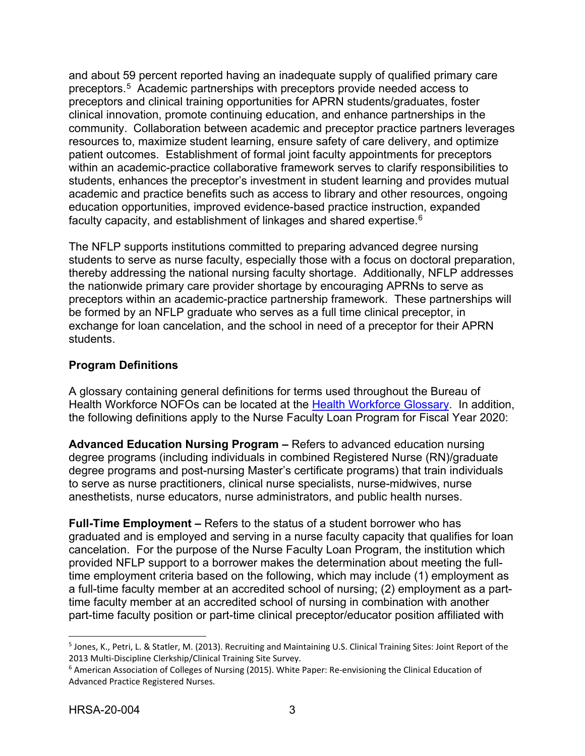and about 59 percent reported having an inadequate supply of qualified primary care preceptors.[5](#page-6-0) Academic partnerships with preceptors provide needed access to preceptors and clinical training opportunities for APRN students/graduates, foster clinical innovation, promote continuing education, and enhance partnerships in the community. Collaboration between academic and preceptor practice partners leverages resources to, maximize student learning, ensure safety of care delivery, and optimize patient outcomes. Establishment of formal joint faculty appointments for preceptors within an academic-practice collaborative framework serves to clarify responsibilities to students, enhances the preceptor's investment in student learning and provides mutual academic and practice benefits such as access to library and other resources, ongoing education opportunities, improved evidence-based practice instruction, expanded faculty capacity, and establishment of linkages and shared expertise.<sup>[6](#page-6-1)</sup>

The NFLP supports institutions committed to preparing advanced degree nursing students to serve as nurse faculty, especially those with a focus on doctoral preparation, thereby addressing the national nursing faculty shortage. Additionally, NFLP addresses the nationwide primary care provider shortage by encouraging APRNs to serve as preceptors within an academic-practice partnership framework. These partnerships will be formed by an NFLP graduate who serves as a full time clinical preceptor, in exchange for loan cancelation, and the school in need of a preceptor for their APRN students.

## **Program Definitions**

A glossary containing general definitions for terms used throughout the Bureau of Health Workforce NOFOs can be located at the [Health Workforce Glossary.](https://bhw.hrsa.gov/grants/resourcecenter/glossary) In addition, the following definitions apply to the Nurse Faculty Loan Program for Fiscal Year 2020:

**Advanced Education Nursing Program –** Refers to advanced education nursing degree programs (including individuals in combined Registered Nurse (RN)/graduate degree programs and post-nursing Master's certificate programs) that train individuals to serve as nurse practitioners, clinical nurse specialists, nurse-midwives, nurse anesthetists, nurse educators, nurse administrators, and public health nurses.

**Full-Time Employment –** Refers to the status of a student borrower who has graduated and is employed and serving in a nurse faculty capacity that qualifies for loan cancelation. For the purpose of the Nurse Faculty Loan Program, the institution which provided NFLP support to a borrower makes the determination about meeting the fulltime employment criteria based on the following, which may include (1) employment as a full-time faculty member at an accredited school of nursing; (2) employment as a parttime faculty member at an accredited school of nursing in combination with another part-time faculty position or part-time clinical preceptor/educator position affiliated with

 $\overline{a}$ 

<span id="page-6-0"></span><sup>5</sup> Jones, K., Petri, L. & Statler, M. (2013). Recruiting and Maintaining U.S. Clinical Training Sites: Joint Report of the 2013 Multi-Discipline Clerkship/Clinical Training Site Survey.<br><sup>6</sup> American Association of Colleges of Nursing (2015). White Paper: Re-envisioning the Clinical Education of

<span id="page-6-1"></span>Advanced Practice Registered Nurses.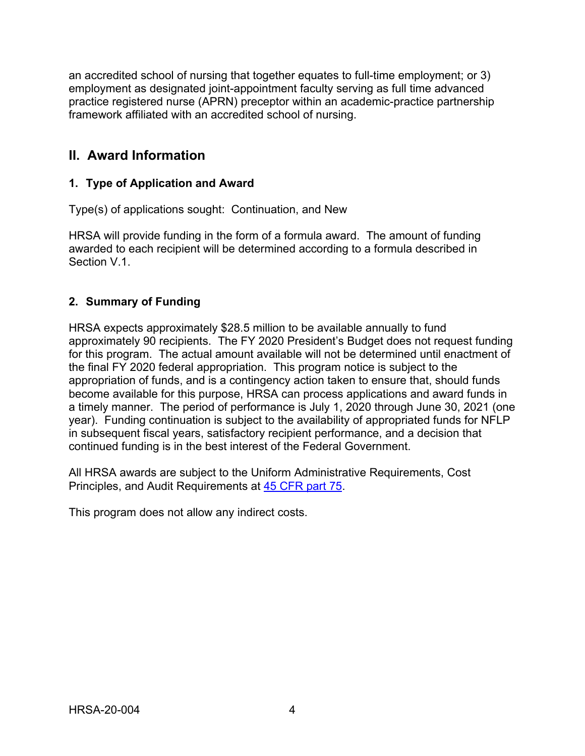an accredited school of nursing that together equates to full-time employment; or 3) employment as designated joint-appointment faculty serving as full time advanced practice registered nurse (APRN) preceptor within an academic-practice partnership framework affiliated with an accredited school of nursing.

## <span id="page-7-0"></span>**II. Award Information**

## <span id="page-7-1"></span>**1. Type of Application and Award**

Type(s) of applications sought: Continuation, and New

HRSA will provide funding in the form of a formula award. The amount of funding awarded to each recipient will be determined according to a formula described in Section V.1.

## <span id="page-7-2"></span>**2. Summary of Funding**

HRSA expects approximately \$28.5 million to be available annually to fund approximately 90 recipients. The FY 2020 President's Budget does not request funding for this program. The actual amount available will not be determined until enactment of the final FY 2020 federal appropriation. This program notice is subject to the appropriation of funds, and is a contingency action taken to ensure that, should funds become available for this purpose, HRSA can process applications and award funds in a timely manner. The period of performance is July 1, 2020 through June 30, 2021 (one year). Funding continuation is subject to the availability of appropriated funds for NFLP in subsequent fiscal years, satisfactory recipient performance, and a decision that continued funding is in the best interest of the Federal Government.

All HRSA awards are subject to the Uniform Administrative Requirements, Cost Principles, and Audit Requirements at [45 CFR part 75.](http://www.ecfr.gov/cgi-bin/retrieveECFR?gp=1&SID=4d52364ec83fab994c665943dadf9cf7&ty=HTML&h=L&r=PART&n=pt45.1.75)

This program does not allow any indirect costs.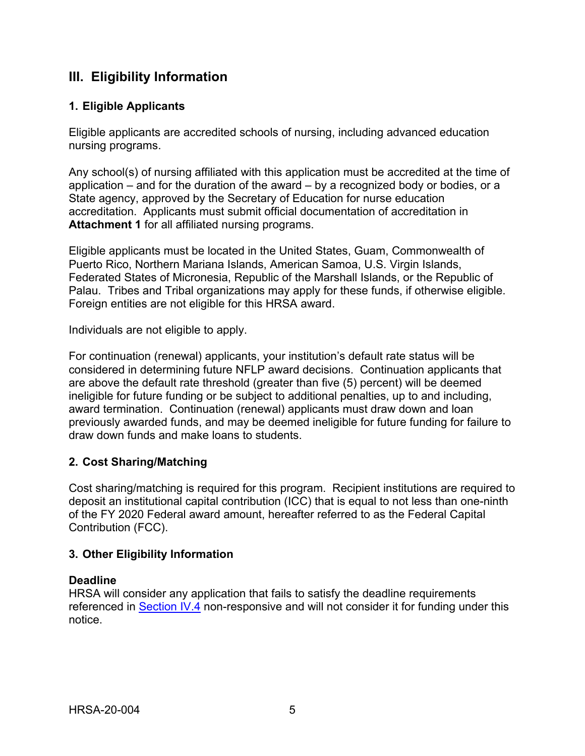## <span id="page-8-1"></span>**III. Eligibility Information**

## <span id="page-8-0"></span>**1. Eligible Applicants**

Eligible applicants are accredited schools of nursing, including advanced education nursing programs.

Any school(s) of nursing affiliated with this application must be accredited at the time of application – and for the duration of the award – by a recognized body or bodies, or a State agency, approved by the Secretary of Education for nurse education accreditation. Applicants must submit official documentation of accreditation in **Attachment 1** for all affiliated nursing programs.

Eligible applicants must be located in the United States, Guam, Commonwealth of Puerto Rico, Northern Mariana Islands, American Samoa, U.S. Virgin Islands, Federated States of Micronesia, Republic of the Marshall Islands, or the Republic of Palau. Tribes and Tribal organizations may apply for these funds, if otherwise eligible. Foreign entities are not eligible for this HRSA award.

Individuals are not eligible to apply.

For continuation (renewal) applicants, your institution's default rate status will be considered in determining future NFLP award decisions. Continuation applicants that are above the default rate threshold (greater than five (5) percent) will be deemed ineligible for future funding or be subject to additional penalties, up to and including, award termination. Continuation (renewal) applicants must draw down and loan previously awarded funds, and may be deemed ineligible for future funding for failure to draw down funds and make loans to students.

## <span id="page-8-2"></span>**2. Cost Sharing/Matching**

Cost sharing/matching is required for this program. Recipient institutions are required to deposit an institutional capital contribution (ICC) that is equal to not less than one-ninth of the FY 2020 Federal award amount, hereafter referred to as the Federal Capital Contribution (FCC).

#### <span id="page-8-3"></span>**3. Other Eligibility Information**

#### **Deadline**

HRSA will consider any application that fails to satisfy the deadline requirements referenced in [Section IV.4](#page-19-0) non-responsive and will not consider it for funding under this notice.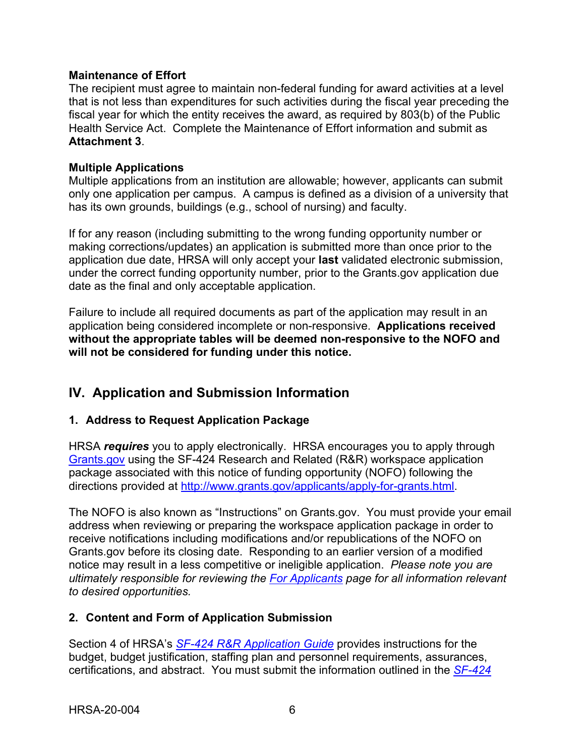### **Maintenance of Effort**

The recipient must agree to maintain non-federal funding for award activities at a level that is not less than expenditures for such activities during the fiscal year preceding the fiscal year for which the entity receives the award, as required by 803(b) of the Public Health Service Act. Complete the Maintenance of Effort information and submit as **Attachment 3**.

### **Multiple Applications**

Multiple applications from an institution are allowable; however, applicants can submit only one application per campus. A campus is defined as a division of a university that has its own grounds, buildings (e.g., school of nursing) and faculty.

If for any reason (including submitting to the wrong funding opportunity number or making corrections/updates) an application is submitted more than once prior to the application due date, HRSA will only accept your **last** validated electronic submission, under the correct funding opportunity number, prior to the Grants.gov application due date as the final and only acceptable application.

Failure to include all required documents as part of the application may result in an application being considered incomplete or non-responsive. **Applications received without the appropriate tables will be deemed non-responsive to the NOFO and will not be considered for funding under this notice.**

## <span id="page-9-0"></span>**IV. Application and Submission Information**

## <span id="page-9-1"></span>**1. Address to Request Application Package**

HRSA *requires* you to apply electronically. HRSA encourages you to apply through [Grants.gov](https://www.grants.gov/) using the SF-424 Research and Related (R&R) workspace application package associated with this notice of funding opportunity (NOFO) following the directions provided at [http://www.grants.gov/applicants/apply-for-grants.html.](http://www.grants.gov/applicants/apply-for-grants.html)

The NOFO is also known as "Instructions" on Grants.gov. You must provide your email address when reviewing or preparing the workspace application package in order to receive notifications including modifications and/or republications of the NOFO on Grants.gov before its closing date. Responding to an earlier version of a modified notice may result in a less competitive or ineligible application. *Please note you are ultimately responsible for reviewing the [For Applicants](https://www.grants.gov/web/grants/applicants.html) page for all information relevant to desired opportunities.*

## <span id="page-9-2"></span>**2. Content and Form of Application Submission**

Section 4 of HRSA's *SF-424 R&R [Application Guide](http://www.hrsa.gov/grants/apply/applicationguide/sf424rrguidev2.pdf)* provides instructions for the budget, budget justification, staffing plan and personnel requirements, assurances, certifications, and abstract. You must submit the information outlined in the *[SF-424](http://www.hrsa.gov/grants/apply/applicationguide/sf424rrguidev2.pdf)*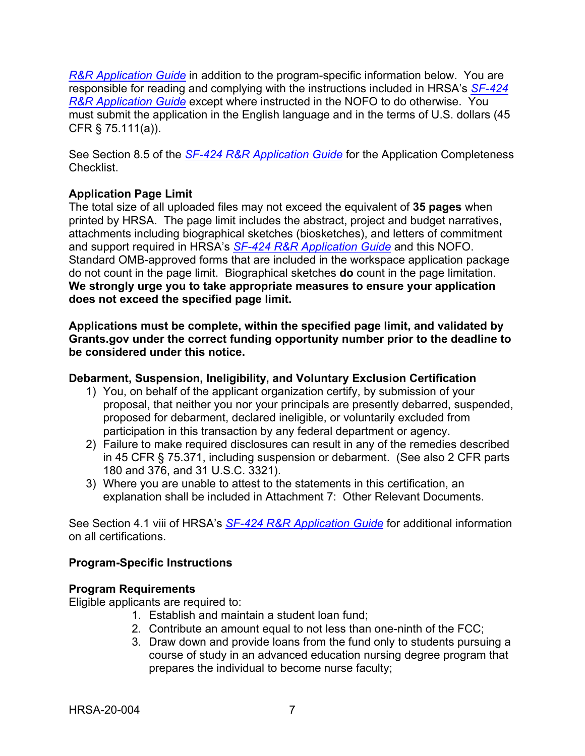*R&R [Application Guide](http://www.hrsa.gov/grants/apply/applicationguide/sf424rrguidev2.pdf)* in addition to the program-specific information below. You are responsible for reading and complying with the instructions included in HRSA's *[SF-424](http://www.hrsa.gov/grants/apply/applicationguide/sf424rrguidev2.pdf) R&R [Application Guide](http://www.hrsa.gov/grants/apply/applicationguide/sf424rrguidev2.pdf)* except where instructed in the NOFO to do otherwise. You must submit the application in the English language and in the terms of U.S. dollars (45 CFR § 75.111(a)).

See Section 8.5 of the *SF-424 R&R [Application Guide](http://www.hrsa.gov/grants/apply/applicationguide/sf424rrguidev2.pdf)* for the Application Completeness Checklist.

## **Application Page Limit**

The total size of all uploaded files may not exceed the equivalent of **35 pages** when printed by HRSA. The page limit includes the abstract, project and budget narratives, attachments including biographical sketches (biosketches), and letters of commitment and support required in HRSA's *SF-424 R&R [Application Guide](http://www.hrsa.gov/grants/apply/applicationguide/sf424rrguidev2.pdf)* and this NOFO. Standard OMB-approved forms that are included in the workspace application package do not count in the page limit. Biographical sketches **do** count in the page limitation. **We strongly urge you to take appropriate measures to ensure your application does not exceed the specified page limit.**

**Applications must be complete, within the specified page limit, and validated by Grants.gov under the correct funding opportunity number prior to the deadline to be considered under this notice.**

## **Debarment, Suspension, Ineligibility, and Voluntary Exclusion Certification**

- 1) You, on behalf of the applicant organization certify, by submission of your proposal, that neither you nor your principals are presently debarred, suspended, proposed for debarment, declared ineligible, or voluntarily excluded from participation in this transaction by any federal department or agency.
- 2) Failure to make required disclosures can result in any of the remedies described in 45 CFR § 75.371, including suspension or debarment. (See also 2 CFR parts 180 and 376, and 31 U.S.C. 3321).
- 3) Where you are unable to attest to the statements in this certification, an explanation shall be included in Attachment 7: Other Relevant Documents.

See Section 4.1 viii of HRSA's *SF-424 R&R [Application Guide](http://www.hrsa.gov/grants/apply/applicationguide/sf424rrguidev2.pdf)* for additional information on all certifications.

## **Program-Specific Instructions**

#### **Program Requirements**

Eligible applicants are required to:

- 1. Establish and maintain a student loan fund;
- 2. Contribute an amount equal to not less than one-ninth of the FCC;
- 3. Draw down and provide loans from the fund only to students pursuing a course of study in an advanced education nursing degree program that prepares the individual to become nurse faculty;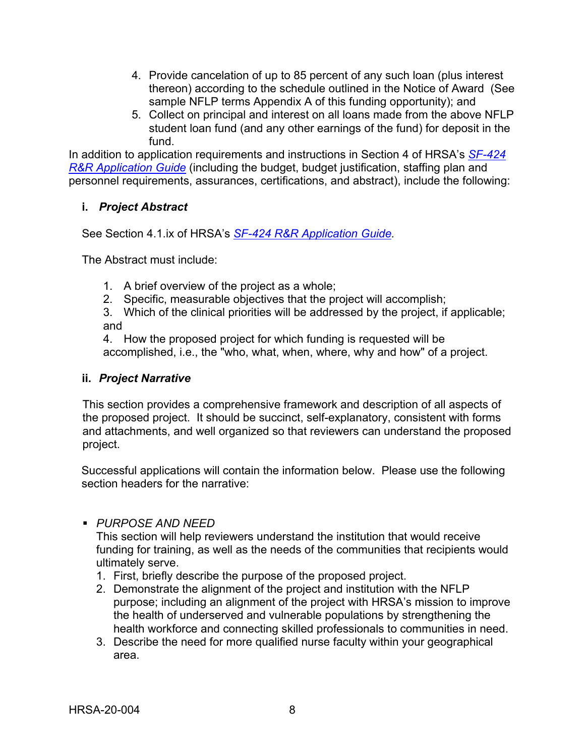- 4. Provide cancelation of up to 85 percent of any such loan (plus interest thereon) according to the schedule outlined in the Notice of Award (See sample NFLP terms Appendix A of this funding opportunity); and
- 5. Collect on principal and interest on all loans made from the above NFLP student loan fund (and any other earnings of the fund) for deposit in the fund.

In addition to application requirements and instructions in Section 4 of HRSA's *[SF-424](http://www.hrsa.gov/grants/apply/applicationguide/sf424rrguidev2.pdf) R&R [Application Guide](http://www.hrsa.gov/grants/apply/applicationguide/sf424rrguidev2.pdf)* (including the budget, budget justification, staffing plan and personnel requirements, assurances, certifications, and abstract), include the following:

## <span id="page-11-0"></span>**i.** *Project Abstract*

See Section 4.1.ix of HRSA's *SF-424 R&R [Application Guide.](http://www.hrsa.gov/grants/apply/applicationguide/sf424rrguidev2.pdf)*

The Abstract must include:

- 1. A brief overview of the project as a whole;
- 2. Specific, measurable objectives that the project will accomplish;
- 3. Which of the clinical priorities will be addressed by the project, if applicable; and

4. How the proposed project for which funding is requested will be accomplished, i.e., the "who, what, when, where, why and how" of a project.

#### <span id="page-11-1"></span>**ii.** *Project Narrative*

This section provides a comprehensive framework and description of all aspects of the proposed project. It should be succinct, self-explanatory, consistent with forms and attachments, and well organized so that reviewers can understand the proposed project.

Successful applications will contain the information below. Please use the following section headers for the narrative:

#### *PURPOSE AND NEED*

This section will help reviewers understand the institution that would receive funding for training, as well as the needs of the communities that recipients would ultimately serve.

- 1. First, briefly describe the purpose of the proposed project.
- 2. Demonstrate the alignment of the project and institution with the NFLP purpose; including an alignment of the project with HRSA's mission to improve the health of underserved and vulnerable populations by strengthening the health workforce and connecting skilled professionals to communities in need.
- 3. Describe the need for more qualified nurse faculty within your geographical area.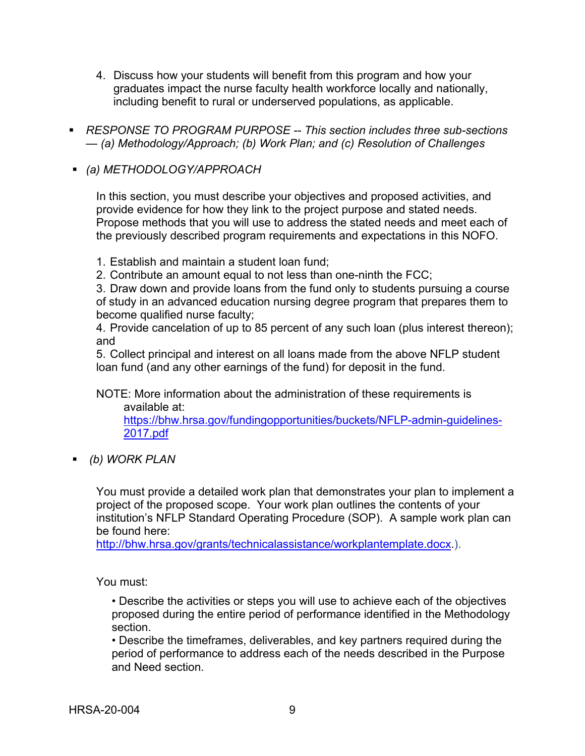- 4. Discuss how your students will benefit from this program and how your graduates impact the nurse faculty health workforce locally and nationally, including benefit to rural or underserved populations, as applicable.
- *RESPONSE TO PROGRAM PURPOSE -- This section includes three sub-sections — (a) Methodology/Approach; (b) Work Plan; and (c) Resolution of Challenges*
- *(a) METHODOLOGY/APPROACH*

In this section, you must describe your objectives and proposed activities, and provide evidence for how they link to the project purpose and stated needs. Propose methods that you will use to address the stated needs and meet each of the previously described program requirements and expectations in this NOFO.

- 1. Establish and maintain a student loan fund;
- 2. Contribute an amount equal to not less than one-ninth the FCC;

3. Draw down and provide loans from the fund only to students pursuing a course of study in an advanced education nursing degree program that prepares them to become qualified nurse faculty;

4. Provide cancelation of up to 85 percent of any such loan (plus interest thereon); and

5. Collect principal and interest on all loans made from the above NFLP student loan fund (and any other earnings of the fund) for deposit in the fund.

NOTE: More information about the administration of these requirements is available at:

[https://bhw.hrsa.gov/fundingopportunities/buckets/NFLP-admin-guidelines-](https://bhw.hrsa.gov/fundingopportunities/buckets/NFLP-admin-guidelines-2017.pdf)[2017.pdf](https://bhw.hrsa.gov/fundingopportunities/buckets/NFLP-admin-guidelines-2017.pdf)

*(b) WORK PLAN* 

You must provide a detailed work plan that demonstrates your plan to implement a project of the proposed scope. Your work plan outlines the contents of your institution's NFLP Standard Operating Procedure (SOP). A sample work plan can be found here:

[http://bhw.hrsa.gov/grants/technicalassistance/workplantemplate.docx.](http://bhw.hrsa.gov/grants/technicalassistance/workplantemplate.docx)).

You must:

• Describe the activities or steps you will use to achieve each of the objectives proposed during the entire period of performance identified in the Methodology section.

• Describe the timeframes, deliverables, and key partners required during the period of performance to address each of the needs described in the Purpose and Need section.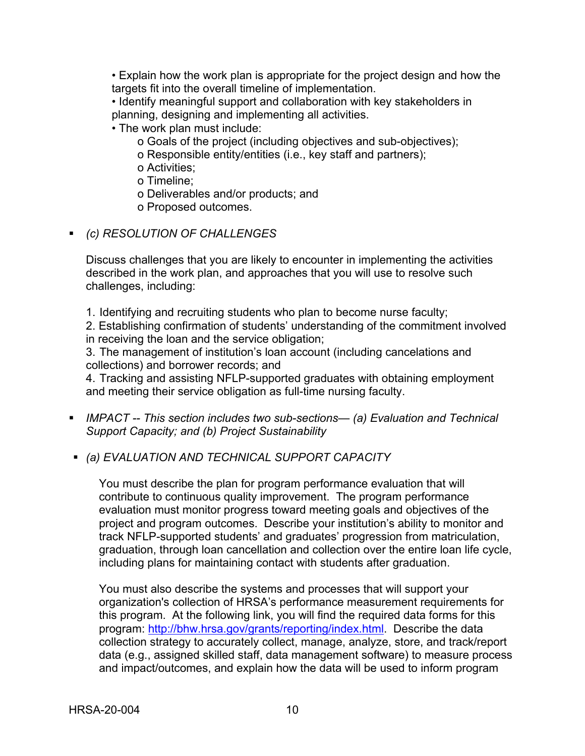• Explain how the work plan is appropriate for the project design and how the targets fit into the overall timeline of implementation.

• Identify meaningful support and collaboration with key stakeholders in planning, designing and implementing all activities.

• The work plan must include:

o Goals of the project (including objectives and sub-objectives);

o Responsible entity/entities (i.e., key staff and partners);

o Activities;

o Timeline;

o Deliverables and/or products; and

o Proposed outcomes.

*(c) RESOLUTION OF CHALLENGES* 

Discuss challenges that you are likely to encounter in implementing the activities described in the work plan, and approaches that you will use to resolve such challenges, including:

1. Identifying and recruiting students who plan to become nurse faculty;

2. Establishing confirmation of students' understanding of the commitment involved in receiving the loan and the service obligation;

3. The management of institution's loan account (including cancelations and collections) and borrower records; and

4. Tracking and assisting NFLP-supported graduates with obtaining employment and meeting their service obligation as full-time nursing faculty.

- *IMPACT -- This section includes two sub-sections— (a) Evaluation and Technical Support Capacity; and (b) Project Sustainability*
- *(a) EVALUATION AND TECHNICAL SUPPORT CAPACITY*

You must describe the plan for program performance evaluation that will contribute to continuous quality improvement. The program performance evaluation must monitor progress toward meeting goals and objectives of the project and program outcomes. Describe your institution's ability to monitor and track NFLP-supported students' and graduates' progression from matriculation, graduation, through loan cancellation and collection over the entire loan life cycle, including plans for maintaining contact with students after graduation.

You must also describe the systems and processes that will support your organization's collection of HRSA's performance measurement requirements for this program. At the following link, you will find the required data forms for this program: [http://bhw.hrsa.gov/grants/reporting/index.html.](http://bhw.hrsa.gov/grants/reporting/index.html) Describe the data collection strategy to accurately collect, manage, analyze, store, and track/report data (e.g., assigned skilled staff, data management software) to measure process and impact/outcomes, and explain how the data will be used to inform program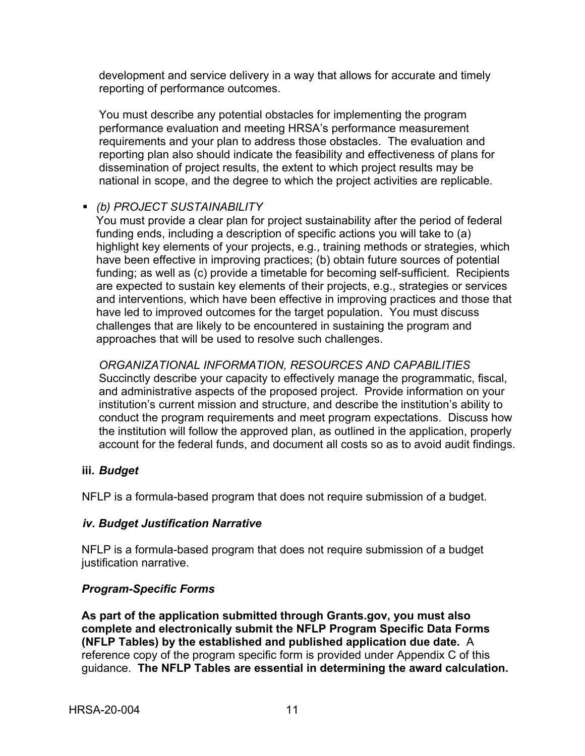development and service delivery in a way that allows for accurate and timely reporting of performance outcomes.

You must describe any potential obstacles for implementing the program performance evaluation and meeting HRSA's performance measurement requirements and your plan to address those obstacles. The evaluation and reporting plan also should indicate the feasibility and effectiveness of plans for dissemination of project results, the extent to which project results may be national in scope, and the degree to which the project activities are replicable.

### *(b) PROJECT SUSTAINABILITY*

You must provide a clear plan for project sustainability after the period of federal funding ends, including a description of specific actions you will take to (a) highlight key elements of your projects, e.g., training methods or strategies, which have been effective in improving practices; (b) obtain future sources of potential funding; as well as (c) provide a timetable for becoming self-sufficient. Recipients are expected to sustain key elements of their projects, e.g., strategies or services and interventions, which have been effective in improving practices and those that have led to improved outcomes for the target population. You must discuss challenges that are likely to be encountered in sustaining the program and approaches that will be used to resolve such challenges.

*ORGANIZATIONAL INFORMATION, RESOURCES AND CAPABILITIES*  Succinctly describe your capacity to effectively manage the programmatic, fiscal, and administrative aspects of the proposed project. Provide information on your institution's current mission and structure, and describe the institution's ability to conduct the program requirements and meet program expectations. Discuss how the institution will follow the approved plan, as outlined in the application, properly account for the federal funds, and document all costs so as to avoid audit findings.

#### <span id="page-14-0"></span>**iii.** *Budget*

NFLP is a formula-based program that does not require submission of a budget.

#### <span id="page-14-1"></span>*iv. Budget Justification Narrative*

NFLP is a formula-based program that does not require submission of a budget justification narrative.

#### *Program-Specific Forms*

**As part of the application submitted through Grants.gov, you must also complete and electronically submit the NFLP Program Specific Data Forms (NFLP Tables) by the established and published application due date.** A reference copy of the program specific form is provided under Appendix C of this guidance. **The NFLP Tables are essential in determining the award calculation.**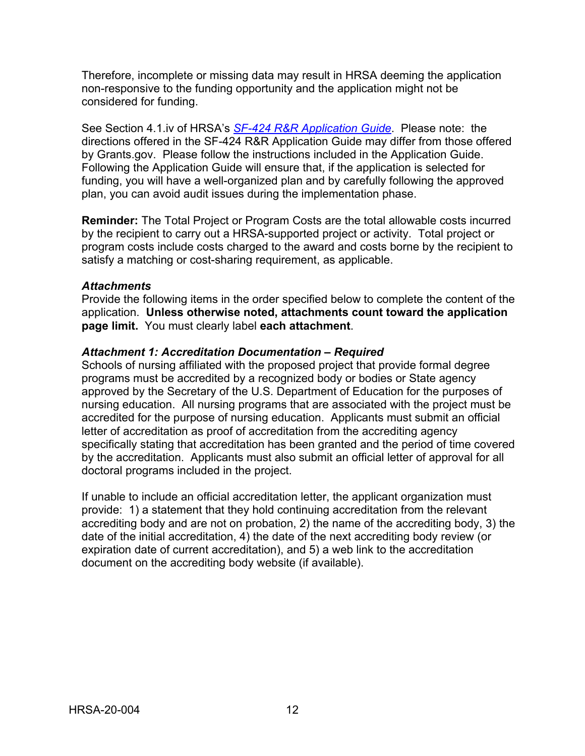Therefore, incomplete or missing data may result in HRSA deeming the application non-responsive to the funding opportunity and the application might not be considered for funding.

See Section 4.1.iv of HRSA's *SF-424 R&R [Application Guide](http://www.hrsa.gov/grants/apply/applicationguide/sf424rrguidev2.pdf)*. Please note: the directions offered in the SF-424 R&R Application Guide may differ from those offered by Grants.gov. Please follow the instructions included in the Application Guide. Following the Application Guide will ensure that, if the application is selected for funding, you will have a well-organized plan and by carefully following the approved plan, you can avoid audit issues during the implementation phase.

**Reminder:** The Total Project or Program Costs are the total allowable costs incurred by the recipient to carry out a HRSA-supported project or activity. Total project or program costs include costs charged to the award and costs borne by the recipient to satisfy a matching or cost-sharing requirement, as applicable.

#### *Attachments*

Provide the following items in the order specified below to complete the content of the application. **Unless otherwise noted, attachments count toward the application page limit.** You must clearly label **each attachment**.

#### *Attachment 1: Accreditation Documentation – Required*

Schools of nursing affiliated with the proposed project that provide formal degree programs must be accredited by a recognized body or bodies or State agency approved by the Secretary of the U.S. Department of Education for the purposes of nursing education. All nursing programs that are associated with the project must be accredited for the purpose of nursing education. Applicants must submit an official letter of accreditation as proof of accreditation from the accrediting agency specifically stating that accreditation has been granted and the period of time covered by the accreditation. Applicants must also submit an official letter of approval for all doctoral programs included in the project.

If unable to include an official accreditation letter, the applicant organization must provide: 1) a statement that they hold continuing accreditation from the relevant accrediting body and are not on probation, 2) the name of the accrediting body, 3) the date of the initial accreditation, 4) the date of the next accrediting body review (or expiration date of current accreditation), and 5) a web link to the accreditation document on the accrediting body website (if available).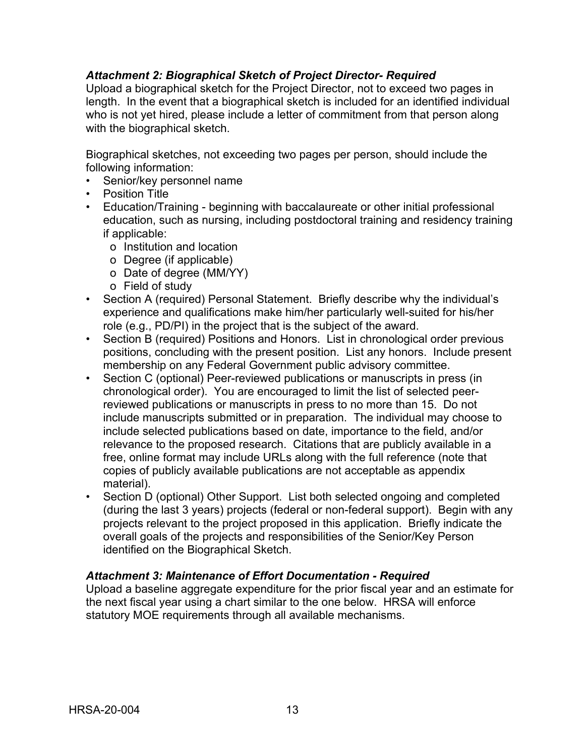### *Attachment 2: Biographical Sketch of Project Director- Required*

Upload a biographical sketch for the Project Director, not to exceed two pages in length. In the event that a biographical sketch is included for an identified individual who is not yet hired, please include a letter of commitment from that person along with the biographical sketch.

Biographical sketches, not exceeding two pages per person, should include the following information:

- Senior/key personnel name
- Position Title
- Education/Training beginning with baccalaureate or other initial professional education, such as nursing, including postdoctoral training and residency training if applicable:
	- o Institution and location
	- o Degree (if applicable)
	- o Date of degree (MM/YY)
	- o Field of study
- Section A (required) Personal Statement. Briefly describe why the individual's experience and qualifications make him/her particularly well-suited for his/her role (e.g., PD/PI) in the project that is the subject of the award.
- Section B (required) Positions and Honors. List in chronological order previous positions, concluding with the present position. List any honors. Include present membership on any Federal Government public advisory committee.
- Section C (optional) Peer-reviewed publications or manuscripts in press (in chronological order). You are encouraged to limit the list of selected peerreviewed publications or manuscripts in press to no more than 15. Do not include manuscripts submitted or in preparation. The individual may choose to include selected publications based on date, importance to the field, and/or relevance to the proposed research. Citations that are publicly available in a free, online format may include URLs along with the full reference (note that copies of publicly available publications are not acceptable as appendix material).
- Section D (optional) Other Support. List both selected ongoing and completed (during the last 3 years) projects (federal or non-federal support). Begin with any projects relevant to the project proposed in this application. Briefly indicate the overall goals of the projects and responsibilities of the Senior/Key Person identified on the Biographical Sketch.

#### *Attachment 3: Maintenance of Effort Documentation - Required*

Upload a baseline aggregate expenditure for the prior fiscal year and an estimate for the next fiscal year using a chart similar to the one below. HRSA will enforce statutory MOE requirements through all available mechanisms.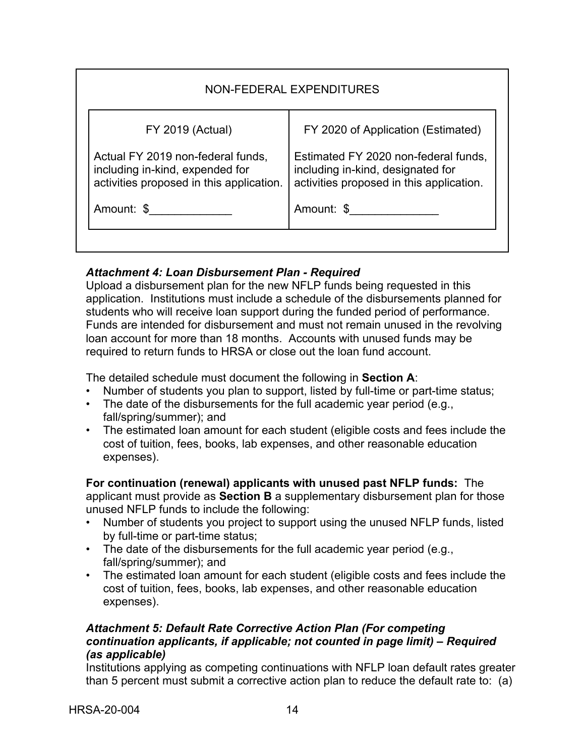| NON-FEDERAL EXPENDITURES                                                                                         |                                                                                                                       |  |  |  |  |
|------------------------------------------------------------------------------------------------------------------|-----------------------------------------------------------------------------------------------------------------------|--|--|--|--|
| <b>FY 2019 (Actual)</b>                                                                                          | FY 2020 of Application (Estimated)                                                                                    |  |  |  |  |
| Actual FY 2019 non-federal funds,<br>including in-kind, expended for<br>activities proposed in this application. | Estimated FY 2020 non-federal funds,<br>including in-kind, designated for<br>activities proposed in this application. |  |  |  |  |
| Amount: \$                                                                                                       | Amount: \$                                                                                                            |  |  |  |  |

## *Attachment 4: Loan Disbursement Plan - Required*

Upload a disbursement plan for the new NFLP funds being requested in this application. Institutions must include a schedule of the disbursements planned for students who will receive loan support during the funded period of performance. Funds are intended for disbursement and must not remain unused in the revolving loan account for more than 18 months. Accounts with unused funds may be required to return funds to HRSA or close out the loan fund account.

The detailed schedule must document the following in **Section A**:

- Number of students you plan to support, listed by full-time or part-time status;
- The date of the disbursements for the full academic year period (e.g., fall/spring/summer); and
- The estimated loan amount for each student (eligible costs and fees include the cost of tuition, fees, books, lab expenses, and other reasonable education expenses).

**For continuation (renewal) applicants with unused past NFLP funds:** The applicant must provide as **Section B** a supplementary disbursement plan for those unused NFLP funds to include the following:

- Number of students you project to support using the unused NFLP funds, listed by full-time or part-time status;
- The date of the disbursements for the full academic year period (e.g., fall/spring/summer); and
- The estimated loan amount for each student (eligible costs and fees include the cost of tuition, fees, books, lab expenses, and other reasonable education expenses).

### *Attachment 5: Default Rate Corrective Action Plan (For competing continuation applicants, if applicable; not counted in page limit) – Required (as applicable)*

Institutions applying as competing continuations with NFLP loan default rates greater than 5 percent must submit a corrective action plan to reduce the default rate to: (a)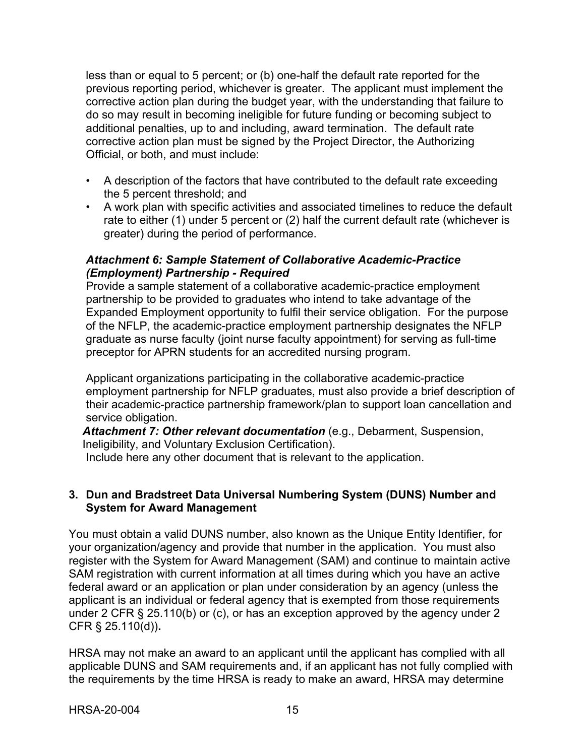less than or equal to 5 percent; or (b) one-half the default rate reported for the previous reporting period, whichever is greater. The applicant must implement the corrective action plan during the budget year, with the understanding that failure to do so may result in becoming ineligible for future funding or becoming subject to additional penalties, up to and including, award termination. The default rate corrective action plan must be signed by the Project Director, the Authorizing Official, or both, and must include:

- A description of the factors that have contributed to the default rate exceeding the 5 percent threshold; and
- A work plan with specific activities and associated timelines to reduce the default rate to either (1) under 5 percent or (2) half the current default rate (whichever is greater) during the period of performance.

#### *Attachment 6: Sample Statement of Collaborative Academic-Practice (Employment) Partnership - Required*

Provide a sample statement of a collaborative academic-practice employment partnership to be provided to graduates who intend to take advantage of the Expanded Employment opportunity to fulfil their service obligation. For the purpose of the NFLP, the academic-practice employment partnership designates the NFLP graduate as nurse faculty (joint nurse faculty appointment) for serving as full-time preceptor for APRN students for an accredited nursing program.

Applicant organizations participating in the collaborative academic-practice employment partnership for NFLP graduates, must also provide a brief description of their academic-practice partnership framework/plan to support loan cancellation and service obligation.

*Attachment 7: Other relevant documentation* (e.g., Debarment, Suspension, Ineligibility, and Voluntary Exclusion Certification).

Include here any other document that is relevant to the application.

### <span id="page-18-0"></span>**3. Dun and Bradstreet Data Universal Numbering System (DUNS) Number and System for Award Management**

You must obtain a valid DUNS number, also known as the Unique Entity Identifier, for your organization/agency and provide that number in the application. You must also register with the System for Award Management (SAM) and continue to maintain active SAM registration with current information at all times during which you have an active federal award or an application or plan under consideration by an agency (unless the applicant is an individual or federal agency that is exempted from those requirements under 2 CFR § 25.110(b) or (c), or has an exception approved by the agency under 2 CFR § 25.110(d))**.**

HRSA may not make an award to an applicant until the applicant has complied with all applicable DUNS and SAM requirements and, if an applicant has not fully complied with the requirements by the time HRSA is ready to make an award, HRSA may determine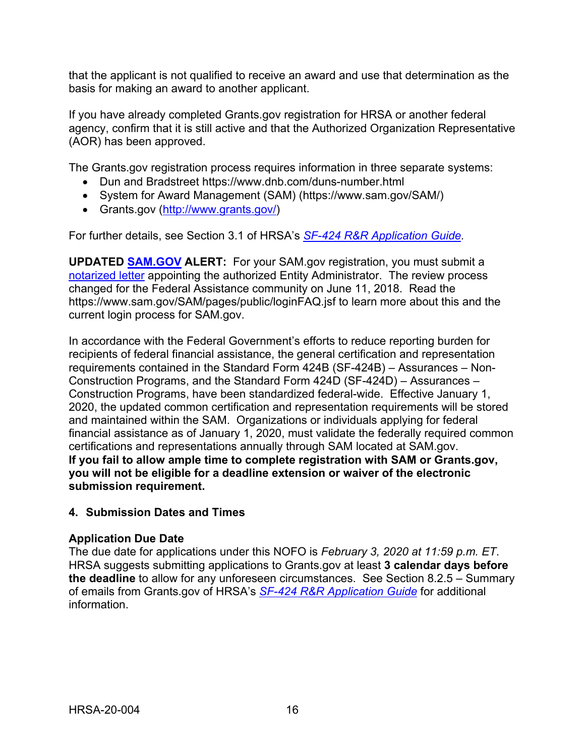that the applicant is not qualified to receive an award and use that determination as the basis for making an award to another applicant.

If you have already completed Grants.gov registration for HRSA or another federal agency, confirm that it is still active and that the Authorized Organization Representative (AOR) has been approved.

The Grants.gov registration process requires information in three separate systems:

- Dun and Bradstreet https://www.dnb.com/duns-number.html
- System for Award Management (SAM) (https://www.sam.gov/SAM/)
- Grants.gov [\(http://www.grants.gov/\)](http://www.grants.gov/)

For further details, see Section 3.1 of HRSA's *SF-424 R&R [Application Guide.](http://www.hrsa.gov/grants/apply/applicationguide/sf424rrguidev2.pdf)*

**UPDATED [SAM.GOV](http://sam.gov/) ALERT:** For your SAM.gov registration, you must submit a [notarized letter](https://www.fsd.gov/fsd-gov/answer.do?sysparm_kbid=d2e67885db0d5f00b3257d321f96194b&sysparm_search=kb0013183) appointing the authorized Entity Administrator. The review process changed for the Federal Assistance community on June 11, 2018. Read the https://www.sam.gov/SAM/pages/public/loginFAQ.jsf to learn more about this and the current login process for SAM.gov.

In accordance with the Federal Government's efforts to reduce reporting burden for recipients of federal financial assistance, the general certification and representation requirements contained in the Standard Form 424B (SF-424B) – Assurances – Non-Construction Programs, and the Standard Form 424D (SF-424D) – Assurances – Construction Programs, have been standardized federal-wide. Effective January 1, 2020, the updated common certification and representation requirements will be stored and maintained within the SAM. Organizations or individuals applying for federal financial assistance as of January 1, 2020, must validate the federally required common certifications and representations annually through SAM located at SAM.gov. **If you fail to allow ample time to complete registration with SAM or Grants.gov, you will not be eligible for a deadline extension or waiver of the electronic submission requirement.**

## <span id="page-19-0"></span>**4. Submission Dates and Times**

## **Application Due Date**

The due date for applications under this NOFO is *February 3, 2020 at 11:59 p.m. ET*. HRSA suggests submitting applications to Grants.gov at least **3 calendar days before the deadline** to allow for any unforeseen circumstances. See Section 8.2.5 – Summary of emails from Grants.gov of HRSA's *SF-424 R&R [Application Guide](http://www.hrsa.gov/grants/apply/applicationguide/sf424rrguidev2.pdf)* for additional information.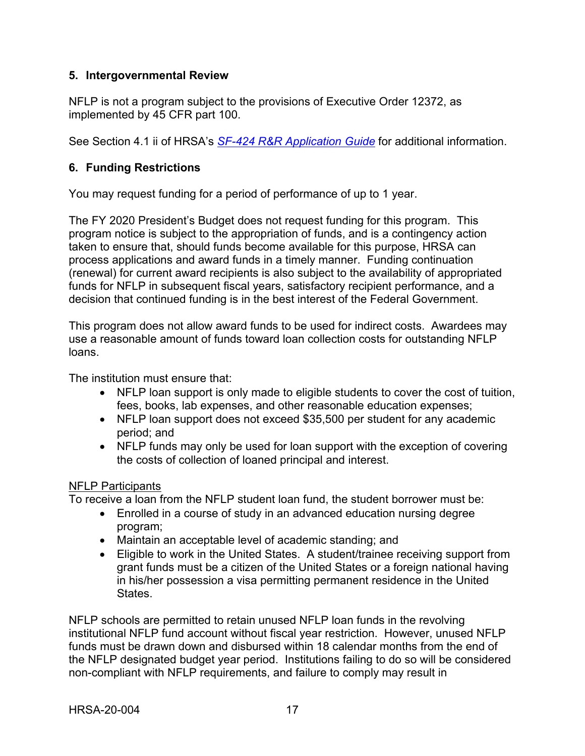### <span id="page-20-0"></span>**5. Intergovernmental Review**

NFLP is not a program subject to the provisions of Executive Order 12372, as implemented by 45 CFR part 100.

See Section 4.1 ii of HRSA's *SF-424 R&R [Application Guide](http://www.hrsa.gov/grants/apply/applicationguide/sf424rrguidev2.pdf)* for additional information.

## <span id="page-20-1"></span>**6. Funding Restrictions**

You may request funding for a period of performance of up to 1 year.

The FY 2020 President's Budget does not request funding for this program. This program notice is subject to the appropriation of funds, and is a contingency action taken to ensure that, should funds become available for this purpose, HRSA can process applications and award funds in a timely manner. Funding continuation (renewal) for current award recipients is also subject to the availability of appropriated funds for NFLP in subsequent fiscal years, satisfactory recipient performance, and a decision that continued funding is in the best interest of the Federal Government.

This program does not allow award funds to be used for indirect costs. Awardees may use a reasonable amount of funds toward loan collection costs for outstanding NFLP loans.

The institution must ensure that:

- NFLP loan support is only made to eligible students to cover the cost of tuition, fees, books, lab expenses, and other reasonable education expenses;
- NFLP loan support does not exceed \$35,500 per student for any academic period; and
- NFLP funds may only be used for loan support with the exception of covering the costs of collection of loaned principal and interest.

## NFLP Participants

To receive a loan from the NFLP student loan fund, the student borrower must be:

- Enrolled in a course of study in an advanced education nursing degree program;
- Maintain an acceptable level of academic standing; and
- Eligible to work in the United States. A student/trainee receiving support from grant funds must be a citizen of the United States or a foreign national having in his/her possession a visa permitting permanent residence in the United States.

NFLP schools are permitted to retain unused NFLP loan funds in the revolving institutional NFLP fund account without fiscal year restriction. However, unused NFLP funds must be drawn down and disbursed within 18 calendar months from the end of the NFLP designated budget year period. Institutions failing to do so will be considered non-compliant with NFLP requirements, and failure to comply may result in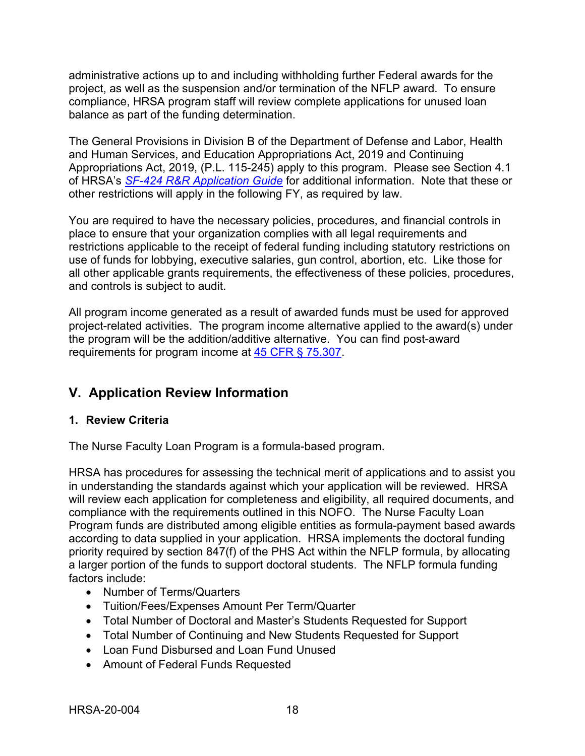administrative actions up to and including withholding further Federal awards for the project, as well as the suspension and/or termination of the NFLP award. To ensure compliance, HRSA program staff will review complete applications for unused loan balance as part of the funding determination.

The General Provisions in Division B of the Department of Defense and Labor, Health and Human Services, and Education Appropriations Act, 2019 and Continuing Appropriations Act, 2019, (P.L. 115-245) apply to this program. Please see Section 4.1 of HRSA's *SF-424 R&R [Application Guide](http://www.hrsa.gov/grants/apply/applicationguide/sf424rrguidev2.pdf)* for additional information. Note that these or other restrictions will apply in the following FY, as required by law.

You are required to have the necessary policies, procedures, and financial controls in place to ensure that your organization complies with all legal requirements and restrictions applicable to the receipt of federal funding including statutory restrictions on use of funds for lobbying, executive salaries, gun control, abortion, etc. Like those for all other applicable grants requirements, the effectiveness of these policies, procedures, and controls is subject to audit.

All program income generated as a result of awarded funds must be used for approved project-related activities. The program income alternative applied to the award(s) under the program will be the addition/additive alternative. You can find post-award requirements for program income at [45 CFR § 75.307.](https://www.ecfr.gov/cgi-bin/retrieveECFR?gp=1&SID=4d52364ec83fab994c665943dadf9cf7&ty=HTML&h=L&r=PART&n=pt45.1.75)

## <span id="page-21-0"></span>**V. Application Review Information**

## <span id="page-21-1"></span>**1. Review Criteria**

The Nurse Faculty Loan Program is a formula-based program.

HRSA has procedures for assessing the technical merit of applications and to assist you in understanding the standards against which your application will be reviewed. HRSA will review each application for completeness and eligibility, all required documents, and compliance with the requirements outlined in this NOFO. The Nurse Faculty Loan Program funds are distributed among eligible entities as formula-payment based awards according to data supplied in your application. HRSA implements the doctoral funding priority required by section 847(f) of the PHS Act within the NFLP formula, by allocating a larger portion of the funds to support doctoral students. The NFLP formula funding factors include:

- Number of Terms/Quarters
- Tuition/Fees/Expenses Amount Per Term/Quarter
- Total Number of Doctoral and Master's Students Requested for Support
- Total Number of Continuing and New Students Requested for Support
- Loan Fund Disbursed and Loan Fund Unused
- Amount of Federal Funds Requested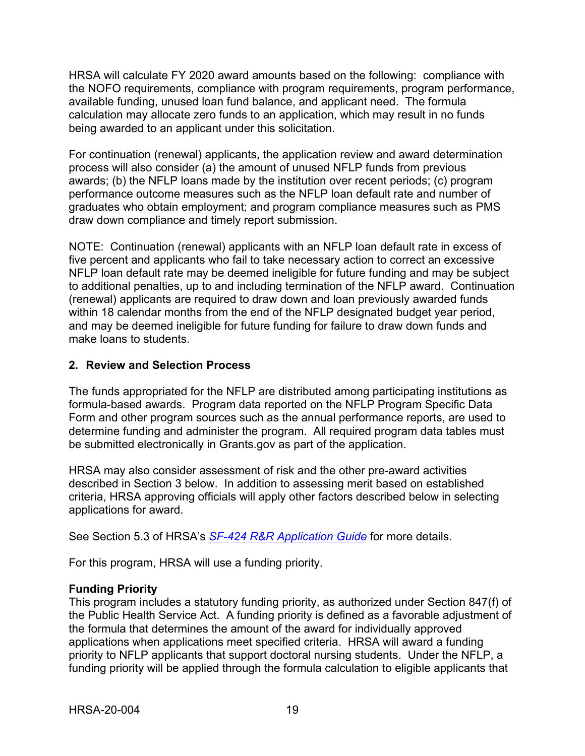HRSA will calculate FY 2020 award amounts based on the following: compliance with the NOFO requirements, compliance with program requirements, program performance, available funding, unused loan fund balance, and applicant need. The formula calculation may allocate zero funds to an application, which may result in no funds being awarded to an applicant under this solicitation.

For continuation (renewal) applicants, the application review and award determination process will also consider (a) the amount of unused NFLP funds from previous awards; (b) the NFLP loans made by the institution over recent periods; (c) program performance outcome measures such as the NFLP loan default rate and number of graduates who obtain employment; and program compliance measures such as PMS draw down compliance and timely report submission.

NOTE: Continuation (renewal) applicants with an NFLP loan default rate in excess of five percent and applicants who fail to take necessary action to correct an excessive NFLP loan default rate may be deemed ineligible for future funding and may be subject to additional penalties, up to and including termination of the NFLP award. Continuation (renewal) applicants are required to draw down and loan previously awarded funds within 18 calendar months from the end of the NFLP designated budget year period, and may be deemed ineligible for future funding for failure to draw down funds and make loans to students.

## <span id="page-22-0"></span>**2. Review and Selection Process**

The funds appropriated for the NFLP are distributed among participating institutions as formula-based awards. Program data reported on the NFLP Program Specific Data Form and other program sources such as the annual performance reports, are used to determine funding and administer the program. All required program data tables must be submitted electronically in Grants.gov as part of the application.

HRSA may also consider assessment of risk and the other pre-award activities described in Section 3 below. In addition to assessing merit based on established criteria, HRSA approving officials will apply other factors described below in selecting applications for award.

See Section 5.3 of HRSA's *SF-424 [R&R Application Guide](http://www.hrsa.gov/grants/apply/applicationguide/sf424rrguidev2.pdf)* for more details.

For this program, HRSA will use a funding priority.

## **Funding Priority**

This program includes a statutory funding priority, as authorized under Section 847(f) of the Public Health Service Act. A funding priority is defined as a favorable adjustment of the formula that determines the amount of the award for individually approved applications when applications meet specified criteria. HRSA will award a funding priority to NFLP applicants that support doctoral nursing students. Under the NFLP, a funding priority will be applied through the formula calculation to eligible applicants that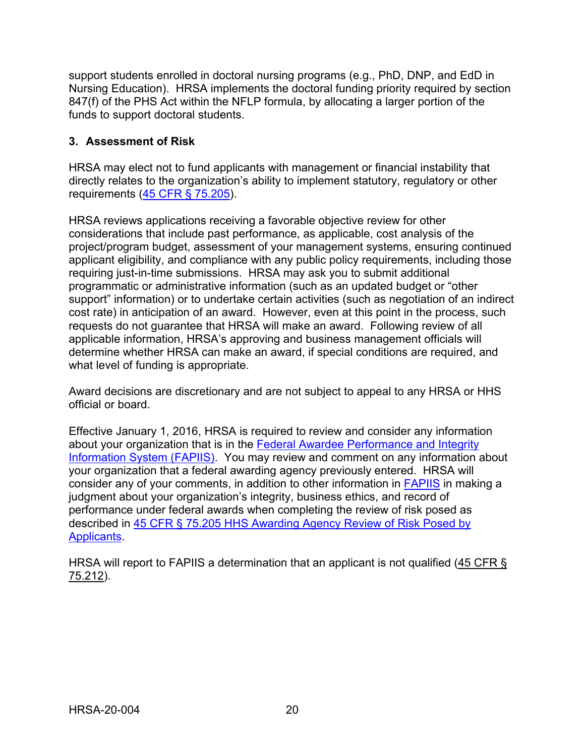support students enrolled in doctoral nursing programs (e.g., PhD, DNP, and EdD in Nursing Education). HRSA implements the doctoral funding priority required by section 847(f) of the PHS Act within the NFLP formula, by allocating a larger portion of the funds to support doctoral students.

## <span id="page-23-0"></span>**3. Assessment of Risk**

HRSA may elect not to fund applicants with management or financial instability that directly relates to the organization's ability to implement statutory, regulatory or other requirements [\(45 CFR § 75.205\)](https://www.ecfr.gov/cgi-bin/retrieveECFR?gp=1&SID=4d52364ec83fab994c665943dadf9cf7&ty=HTML&h=L&r=PART&n=pt45.1.75).

HRSA reviews applications receiving a favorable objective review for other considerations that include past performance, as applicable, cost analysis of the project/program budget, assessment of your management systems, ensuring continued applicant eligibility, and compliance with any public policy requirements, including those requiring just-in-time submissions. HRSA may ask you to submit additional programmatic or administrative information (such as an updated budget or "other support" information) or to undertake certain activities (such as negotiation of an indirect cost rate) in anticipation of an award. However, even at this point in the process, such requests do not guarantee that HRSA will make an award. Following review of all applicable information, HRSA's approving and business management officials will determine whether HRSA can make an award, if special conditions are required, and what level of funding is appropriate.

Award decisions are discretionary and are not subject to appeal to any HRSA or HHS official or board.

Effective January 1, 2016, HRSA is required to review and consider any information about your organization that is in the Federal Awardee Performance and Integrity [Information System \(FAPIIS\).](https://www.fapiis.gov/) You may review and comment on any information about your organization that a federal awarding agency previously entered. HRSA will consider any of your comments, in addition to other information in [FAPIIS](https://www.fapiis.gov/) in making a judgment about your organization's integrity, business ethics, and record of performance under federal awards when completing the review of risk posed as described in [45 CFR § 75.205 HHS Awarding Agency Review of Risk Posed by](https://www.ecfr.gov/cgi-bin/retrieveECFR?gp=1&SID=4d52364ec83fab994c665943dadf9cf7&ty=HTML&h=L&r=PART&n=pt45.1.75)  [Applicants.](https://www.ecfr.gov/cgi-bin/retrieveECFR?gp=1&SID=4d52364ec83fab994c665943dadf9cf7&ty=HTML&h=L&r=PART&n=pt45.1.75)

HRSA will report to FAPIIS a determination that an applicant is not qualified [\(45 CFR §](https://www.ecfr.gov/cgi-bin/retrieveECFR?gp=1&SID=4d52364ec83fab994c665943dadf9cf7&ty=HTML&h=L&r=PART&n=pt45.1.75)  [75.212\)](https://www.ecfr.gov/cgi-bin/retrieveECFR?gp=1&SID=4d52364ec83fab994c665943dadf9cf7&ty=HTML&h=L&r=PART&n=pt45.1.75).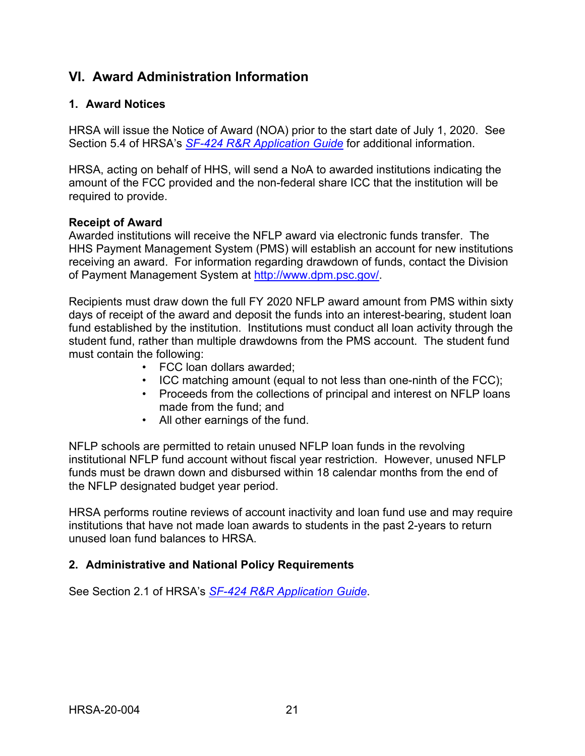## <span id="page-24-0"></span>**VI. Award Administration Information**

### <span id="page-24-1"></span>**1. Award Notices**

HRSA will issue the Notice of Award (NOA) prior to the start date of July 1, 2020. See Section 5.4 of HRSA's *SF-424 [R&R Application Guide](http://www.hrsa.gov/grants/apply/applicationguide/sf424rrguidev2.pdf)* for additional information.

HRSA, acting on behalf of HHS, will send a NoA to awarded institutions indicating the amount of the FCC provided and the non-federal share ICC that the institution will be required to provide.

#### **Receipt of Award**

Awarded institutions will receive the NFLP award via electronic funds transfer. The HHS Payment Management System (PMS) will establish an account for new institutions receiving an award. For information regarding drawdown of funds, contact the Division of Payment Management System at [http://www.dpm.psc.gov/.](http://www.dpm.psc.gov/)

Recipients must draw down the full FY 2020 NFLP award amount from PMS within sixty days of receipt of the award and deposit the funds into an interest-bearing, student loan fund established by the institution. Institutions must conduct all loan activity through the student fund, rather than multiple drawdowns from the PMS account. The student fund must contain the following:

- FCC loan dollars awarded;
- ICC matching amount (equal to not less than one-ninth of the FCC);
- Proceeds from the collections of principal and interest on NFLP loans made from the fund; and
- All other earnings of the fund.

NFLP schools are permitted to retain unused NFLP loan funds in the revolving institutional NFLP fund account without fiscal year restriction. However, unused NFLP funds must be drawn down and disbursed within 18 calendar months from the end of the NFLP designated budget year period.

HRSA performs routine reviews of account inactivity and loan fund use and may require institutions that have not made loan awards to students in the past 2-years to return unused loan fund balances to HRSA.

#### <span id="page-24-2"></span>**2. Administrative and National Policy Requirements**

See Section 2.1 of HRSA's *SF-424 [R&R Application Guide](http://www.hrsa.gov/grants/apply/applicationguide/sf424rrguidev2.pdf)*.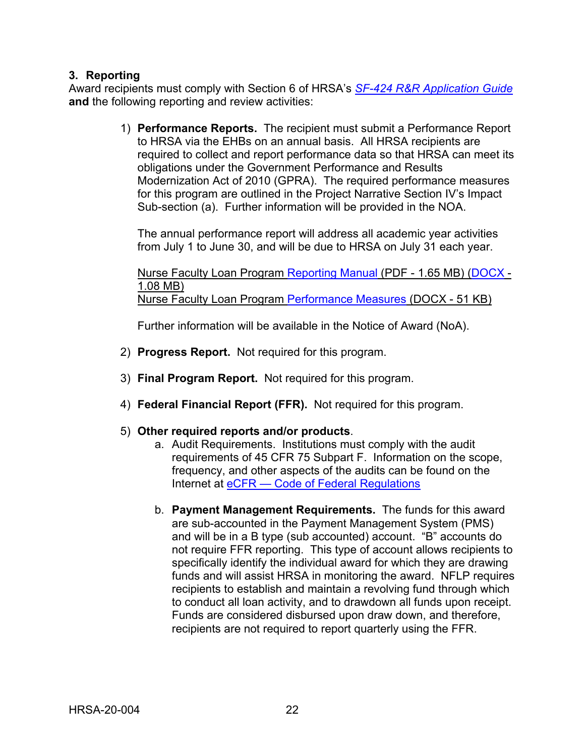### <span id="page-25-0"></span>**3. Reporting**

Award recipients must comply with Section 6 of HRSA's *SF-424 [R&R Application Guide](http://www.hrsa.gov/grants/apply/applicationguide/sf424rrguidev2.pdf)* **and** the following reporting and review activities:

> 1) **Performance Reports.** The recipient must submit a Performance Report to HRSA via the EHBs on an annual basis. All HRSA recipients are required to collect and report performance data so that HRSA can meet its obligations under the Government Performance and Results Modernization Act of 2010 (GPRA). The required performance measures for this program are outlined in the Project Narrative Section IV's Impact Sub-section (a). Further information will be provided in the NOA.

The annual performance report will address all academic year activities from July 1 to June 30, and will be due to HRSA on July 31 each year.

Nurse Faculty Loan Program [Reporting Manual](https://bhw.hrsa.gov/sites/default/files/bhw/grants/reportonyourgrant/nflp_apr-2018-2019.pdf) (PDF - 1.65 MB) [\(DOCX](https://bhw.hrsa.gov/sites/default/files/bhw/grants/reportonyourgrant/nflp_apr-2018-2019.docx) - 1.08 MB) Nurse Faculty Loan Program [Performance Measures](https://bhw.hrsa.gov/sites/default/files/bhw/grants/performancemeasures/Nurse_Faculty_Loan_Program.docx) (DOCX - 51 KB)

Further information will be available in the Notice of Award (NoA).

- 2) **Progress Report.** Not required for this program.
- 3) **Final Program Report.** Not required for this program.
- 4) **Federal Financial Report (FFR).** Not required for this program.
- 5) **Other required reports and/or products**.
	- a. Audit Requirements. Institutions must comply with the audit requirements of 45 CFR 75 Subpart F. Information on the scope, frequency, and other aspects of the audits can be found on the Internet at eCFR — [Code of Federal Regulations](https://www.ecfr.gov/cgi-bin/retrieveECFR?gp=1&SID=501752740986e7a2e59e46b724c0a2a7&ty=HTML&h=L&r=PART&n=pt45.1.75)
	- b. **Payment Management Requirements.** The funds for this award are sub-accounted in the Payment Management System (PMS) and will be in a B type (sub accounted) account. "B" accounts do not require FFR reporting. This type of account allows recipients to specifically identify the individual award for which they are drawing funds and will assist HRSA in monitoring the award. NFLP requires recipients to establish and maintain a revolving fund through which to conduct all loan activity, and to drawdown all funds upon receipt. Funds are considered disbursed upon draw down, and therefore, recipients are not required to report quarterly using the FFR.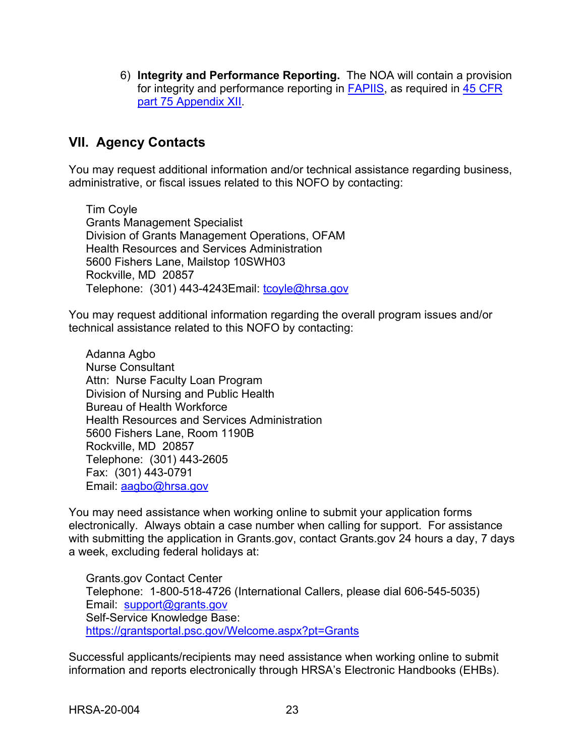6) **Integrity and Performance Reporting.** The NOA will contain a provision for integrity and performance reporting in [FAPIIS,](https://www.fapiis.gov/) as required in [45 CFR](https://www.ecfr.gov/cgi-bin/retrieveECFR?gp=1&SID=4d52364ec83fab994c665943dadf9cf7&ty=HTML&h=L&r=PART&n=pt45.1.75)  [part 75 Appendix XII.](https://www.ecfr.gov/cgi-bin/retrieveECFR?gp=1&SID=4d52364ec83fab994c665943dadf9cf7&ty=HTML&h=L&r=PART&n=pt45.1.75)

## <span id="page-26-0"></span>**VII. Agency Contacts**

You may request additional information and/or technical assistance regarding business, administrative, or fiscal issues related to this NOFO by contacting:

Tim Coyle Grants Management Specialist Division of Grants Management Operations, OFAM Health Resources and Services Administration 5600 Fishers Lane, Mailstop 10SWH03 Rockville, MD 20857 Telephone: (301) 443-4243 Email: [tcoyle@hrsa.gov](mailto:tcoyle@hrsa.gov)

You may request additional information regarding the overall program issues and/or technical assistance related to this NOFO by contacting:

Adanna Agbo Nurse Consultant Attn: Nurse Faculty Loan Program Division of Nursing and Public Health Bureau of Health Workforce Health Resources and Services Administration 5600 Fishers Lane, Room 1190B Rockville, MD 20857 Telephone: (301) 443-2605 Fax: (301) 443-0791 Email: [aagbo@hrsa.gov](mailto:aagbo@hrsa.gov)

You may need assistance when working online to submit your application forms electronically. Always obtain a case number when calling for support. For assistance with submitting the application in Grants.gov, contact Grants.gov 24 hours a day, 7 days a week, excluding federal holidays at:

Grants.gov Contact Center Telephone: 1-800-518-4726 (International Callers, please dial 606-545-5035) Email: [support@grants.gov](mailto:support@grants.gov) Self-Service Knowledge Base: <https://grantsportal.psc.gov/Welcome.aspx?pt=Grants>

Successful applicants/recipients may need assistance when working online to submit information and reports electronically through HRSA's Electronic Handbooks (EHBs).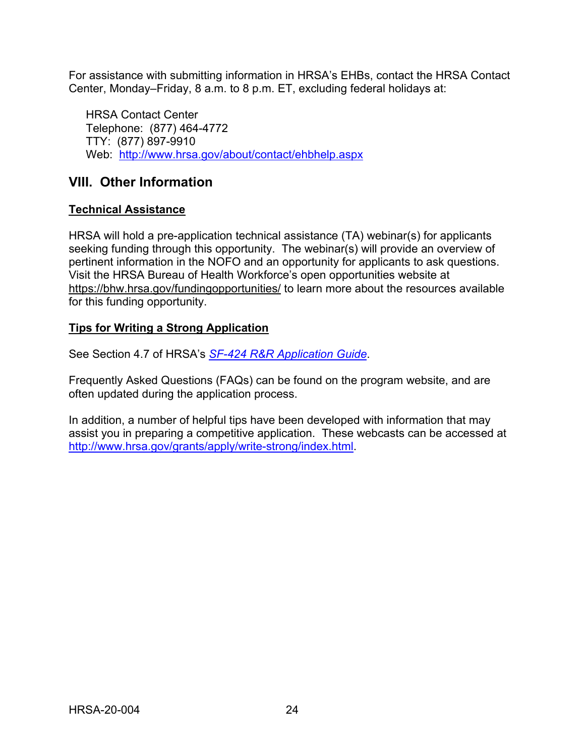For assistance with submitting information in HRSA's EHBs, contact the HRSA Contact Center, Monday–Friday, 8 a.m. to 8 p.m. ET, excluding federal holidays at:

HRSA Contact Center Telephone: (877) 464-4772 TTY: (877) 897-9910 Web: <http://www.hrsa.gov/about/contact/ehbhelp.aspx>

## <span id="page-27-0"></span>**VIII. Other Information**

## **Technical Assistance**

HRSA will hold a pre-application technical assistance (TA) webinar(s) for applicants seeking funding through this opportunity. The webinar(s) will provide an overview of pertinent information in the NOFO and an opportunity for applicants to ask questions. Visit the HRSA Bureau of Health Workforce's open opportunities website at <https://bhw.hrsa.gov/fundingopportunities/> to learn more about the resources available for this funding opportunity.

## **Tips for Writing a Strong Application**

See Section 4.7 of HRSA's *SF-424 [R&R Application Guide](http://www.hrsa.gov/grants/apply/applicationguide/sf424rrguidev2.pdf)*.

Frequently Asked Questions (FAQs) can be found on the program website, and are often updated during the application process.

In addition, a number of helpful tips have been developed with information that may assist you in preparing a competitive application. These webcasts can be accessed at [http://www.hrsa.gov/grants/apply/write-strong/i](http://www.hrsa.gov/grants/apply/write-strong/)ndex.html.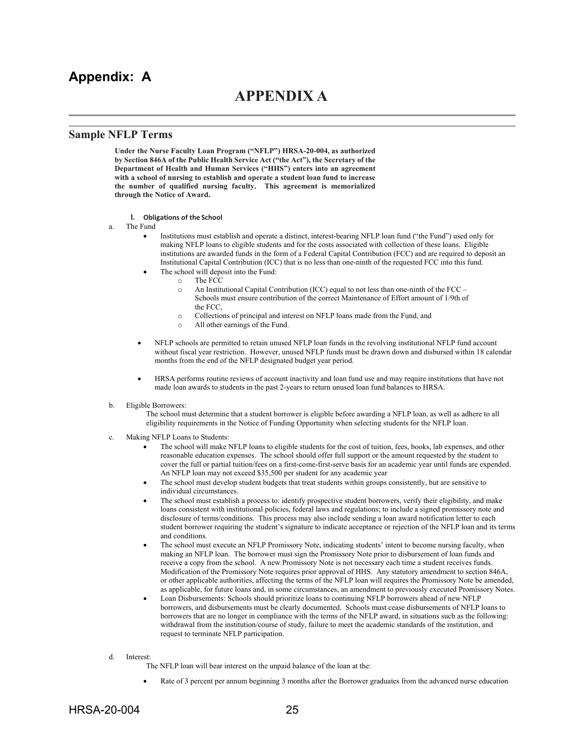## <span id="page-28-0"></span>**Appendix: A**

## **APPENDIX A**

#### **Sample NFLP Terms**

**Under the Nurse Faculty Loan Program ("NFLP") HRSA-20-004, as authorized by Section 846A of the Public Health Service Act ("the Act"), the Secretary of the Department of Health and Human Services ("HHS") enters into an agreement with a school of nursing to establish and operate a student loan fund to increase the number of qualified nursing faculty. This agreement is memorialized through the Notice of Award.** 

- **I. Obligations of the School**
- a. The Fund
	- Institutions must establish and operate a distinct, interest-bearing NFLP loan fund ("the Fund") used only for making NFLP loans to eligible students and for the costs associated with collection of these loans. Eligible institutions are awarded funds in the form of a Federal Capital Contribution (FCC) and are required to deposit an Institutional Capital Contribution (ICC) that is no less than one-ninth of the requested FCC into this fund.
	- The school will deposit into the Fund:
		- o The FCC<br>
		o An Institu
		- An Institutional Capital Contribution (ICC) equal to not less than one-ninth of the FCC Schools must ensure contribution of the correct Maintenance of Effort amount of 1/9th of the FCC,
		- $\circ$  Collections of principal and interest on NFLP loans made from the Fund, and  $\circ$  All other earnings of the Fund.
		- All other earnings of the Fund.
	- NFLP schools are permitted to retain unused NFLP loan funds in the revolving institutional NFLP fund account without fiscal year restriction. However, unused NFLP funds must be drawn down and disbursed within 18 calendar months from the end of the NFLP designated budget year period.
	- HRSA performs routine reviews of account inactivity and loan fund use and may require institutions that have not made loan awards to students in the past 2-years to return unused loan fund balances to HRSA.
- b. Eligible Borrowers:

The school must determine that a student borrower is eligible before awarding a NFLP loan, as well as adhere to all eligibility requirements in the Notice of Funding Opportunity when selecting students for the NFLP loan.

- c. Making NFLP Loans to Students:
	- The school will make NFLP loans to eligible students for the cost of tuition, fees, books, lab expenses, and other reasonable education expenses. The school should offer full support or the amount requested by the student to cover the full or partial tuition/fees on a first-come-first-serve basis for an academic year until funds are expended. An NFLP loan may not exceed \$35,500 per student for any academic year
	- The school must develop student budgets that treat students within groups consistently, but are sensitive to individual circumstances.
	- The school must establish a process to: identify prospective student borrowers, verify their eligibility, and make loans consistent with institutional policies, federal laws and regulations; to include a signed promissory note and disclosure of terms/conditions. This process may also include sending a loan award notification letter to each student borrower requiring the student's signature to indicate acceptance or rejection of the NFLP loan and its terms and conditions.
	- The school must execute an NFLP Promissory Note, indicating students' intent to become nursing faculty, when making an NFLP loan. The borrower must sign the Promissory Note prior to disbursement of loan funds and receive a copy from the school. A new Promissory Note is not necessary each time a student receives funds. Modification of the Promissory Note requires prior approval of HHS. Any statutory amendment to section 846A, or other applicable authorities, affecting the terms of the NFLP loan will requires the Promissory Note be amended, as applicable, for future loans and, in some circumstances, an amendment to previously executed Promissory Notes.
	- Loan Disbursements: Schools should prioritize loans to continuing NFLP borrowers ahead of new NFLP borrowers, and disbursements must be clearly documented. Schools must cease disbursements of NFLP loans to borrowers that are no longer in compliance with the terms of the NFLP award, in situations such as the following: withdrawal from the institution/course of study, failure to meet the academic standards of the institution, and request to terminate NFLP participation.
- d. Interest:

The NFLP loan will bear interest on the unpaid balance of the loan at the:

• Rate of 3 percent per annum beginning 3 months after the Borrower graduates from the advanced nurse education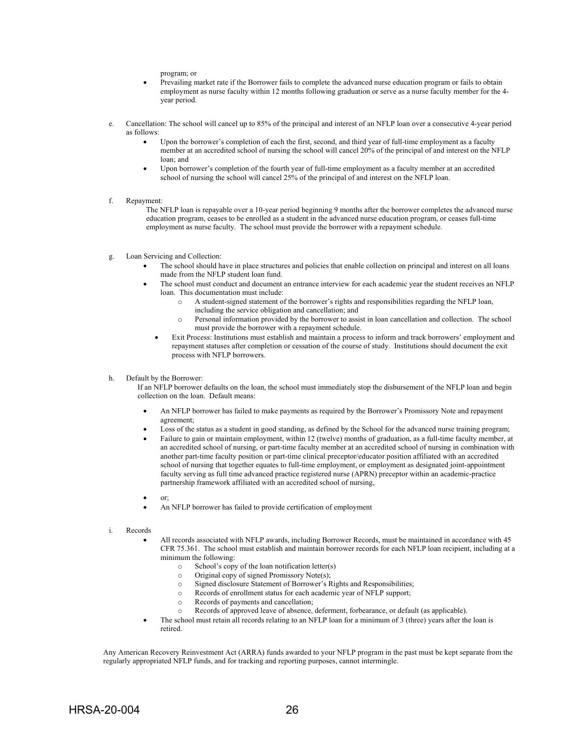program; or

- Prevailing market rate if the Borrower fails to complete the advanced nurse education program or fails to obtain employment as nurse faculty within 12 months following graduation or serve as a nurse faculty member for the 4 year period.
- e. Cancellation: The school will cancel up to 85% of the principal and interest of an NFLP loan over a consecutive 4-year period as follows:
	- Upon the borrower's completion of each the first, second, and third year of full-time employment as a faculty member at an accredited school of nursing the school will cancel 20% of the principal of and interest on the NFLP loan; and
	- Upon borrower's completion of the fourth year of full-time employment as a faculty member at an accredited school of nursing the school will cancel 25% of the principal of and interest on the NFLP loan.
- f. Repayment:

The NFLP loan is repayable over a 10-year period beginning 9 months after the borrower completes the advanced nurse education program, ceases to be enrolled as a student in the advanced nurse education program, or ceases full-time employment as nurse faculty. The school must provide the borrower with a repayment schedule.

- g. Loan Servicing and Collection:
	- The school should have in place structures and policies that enable collection on principal and interest on all loans made from the NFLP student loan fund.
	- The school must conduct and document an entrance interview for each academic year the student receives an NFLP loan. This documentation must include:
		- o A student-signed statement of the borrower's rights and responsibilities regarding the NFLP loan, including the service obligation and cancellation; and
		- o Personal information provided by the borrower to assist in loan cancellation and collection. The school must provide the borrower with a repayment schedule.
		- Exit Process: Institutions must establish and maintain a process to inform and track borrowers' employment and repayment statuses after completion or cessation of the course of study. Institutions should document the exit process with NFLP borrowers.
- h. Default by the Borrower:

If an NFLP borrower defaults on the loan, the school must immediately stop the disbursement of the NFLP loan and begin collection on the loan. Default means:

- An NFLP borrower has failed to make payments as required by the Borrower's Promissory Note and repayment agreement;
- Loss of the status as a student in good standing, as defined by the School for the advanced nurse training program;
- Failure to gain or maintain employment, within 12 (twelve) months of graduation, as a full-time faculty member, at an accredited school of nursing, or part-time faculty member at an accredited school of nursing in combination with another part-time faculty position or part-time clinical preceptor/educator position affiliated with an accredited school of nursing that together equates to full-time employment, or employment as designated joint-appointment faculty serving as full time advanced practice registered nurse (APRN) preceptor within an academic-practice partnership framework affiliated with an accredited school of nursing,
- or;
- An NFLP borrower has failed to provide certification of employment
- i. Records
	- All records associated with NFLP awards, including Borrower Records, must be maintained in accordance with 45 CFR 75.361. The school must establish and maintain borrower records for each NFLP loan recipient, including at a minimum the following:
		- o School's copy of the loan notification letter(s)
		- o Original copy of signed Promissory Note(s);
		- Signed disclosure Statement of Borrower's Rights and Responsibilities;
		- o Records of enrollment status for each academic year of NFLP support;
			- Records of payments and cancellation;
		- o Records of approved leave of absence, deferment, forbearance, or default (as applicable).
	- The school must retain all records relating to an NFLP loan for a minimum of 3 (three) years after the loan is retired.

Any American Recovery Reinvestment Act (ARRA) funds awarded to your NFLP program in the past must be kept separate from the regularly appropriated NFLP funds, and for tracking and reporting purposes, cannot intermingle.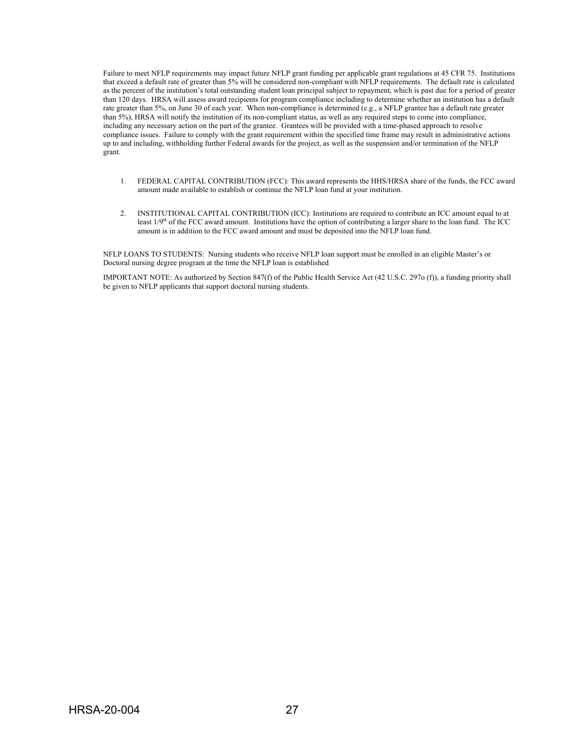Failure to meet NFLP requirements may impact future NFLP grant funding per applicable grant regulations at 45 CFR 75. Institutions that exceed a default rate of greater than 5% will be considered non-compliant with NFLP requirements. The default rate is calculated as the percent of the institution's total outstanding student loan principal subject to repayment, which is past due for a period of greater than 120 days. HRSA will assess award recipients for program compliance including to determine whether an institution has a default rate greater than 5%, on June 30 of each year. When non-compliance is determined (e.g., a NFLP grantee has a default rate greater than 5%), HRSA will notify the institution of its non-compliant status, as well as any required steps to come into compliance, including any necessary action on the part of the grantee. Grantees will be provided with a time-phased approach to resolve compliance issues. Failure to comply with the grant requirement within the specified time frame may result in administrative actions up to and including, withholding further Federal awards for the project, as well as the suspension and/or termination of the NFLP grant.

- 1. FEDERAL CAPITAL CONTRIBUTION (FCC): This award represents the HHS/HRSA share of the funds, the FCC award amount made available to establish or continue the NFLP loan fund at your institution.
- 2. INSTITUTIONAL CAPITAL CONTRIBUTION (ICC): Institutions are required to contribute an ICC amount equal to at least 1/9<sup>th</sup> of the FCC award amount. Institutions have the option of contributing a larger share to the loan fund. The ICC amount is in addition to the FCC award amount and must be deposited into the NFLP loan fund.

NFLP LOANS TO STUDENTS: Nursing students who receive NFLP loan support must be enrolled in an eligible Master's or Doctoral nursing degree program at the time the NFLP loan is established

IMPORTANT NOTE: As authorized by Section 847(f) of the Public Health Service Act (42 U.S.C. 297o (f)), a funding priority shall be given to NFLP applicants that support doctoral nursing students.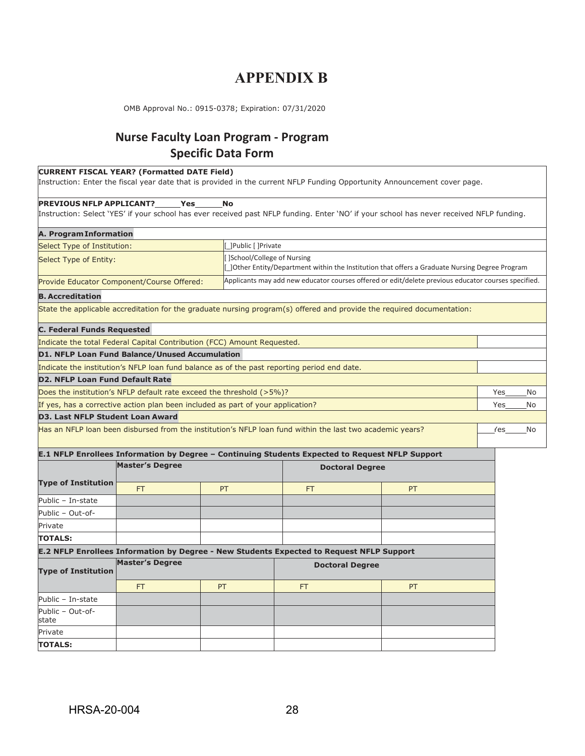## **APPENDIX B**

<span id="page-31-0"></span>OMB Approval No.: 0915-0378; Expiration: 07/31/2020

## **Nurse Faculty Loan Program - Program Specific Data Form**

#### **CURRENT FISCAL YEAR? (Formatted DATE Field)**

Instruction: Enter the fiscal year date that is provided in the current NFLP Funding Opportunity Announcement cover page.

#### **PREVIOUS NFLP APPLICANT? Yes No**

Instruction: Select 'YES' if your school has ever received past NFLP funding. Enter 'NO' if your school has never received NFLP funding.

| <b>A. Program Information</b>                                                   |                                                                                                                            |    |                                                                                                           |                                                                                                                        |     |    |
|---------------------------------------------------------------------------------|----------------------------------------------------------------------------------------------------------------------------|----|-----------------------------------------------------------------------------------------------------------|------------------------------------------------------------------------------------------------------------------------|-----|----|
| Select Type of Institution:                                                     | Public     Private                                                                                                         |    |                                                                                                           |                                                                                                                        |     |    |
| Select Type of Entity:                                                          | School/College of Nursing<br>]Other Entity/Department within the Institution that offers a Graduate Nursing Degree Program |    |                                                                                                           |                                                                                                                        |     |    |
| Provide Educator Component/Course Offered:                                      |                                                                                                                            |    |                                                                                                           | Applicants may add new educator courses offered or edit/delete previous educator courses specified.                    |     |    |
| <b>B. Accreditation</b>                                                         |                                                                                                                            |    |                                                                                                           |                                                                                                                        |     |    |
|                                                                                 |                                                                                                                            |    |                                                                                                           | State the applicable accreditation for the graduate nursing program(s) offered and provide the required documentation: |     |    |
| C. Federal Funds Requested                                                      |                                                                                                                            |    |                                                                                                           |                                                                                                                        |     |    |
| Indicate the total Federal Capital Contribution (FCC) Amount Requested.         |                                                                                                                            |    |                                                                                                           |                                                                                                                        |     |    |
| D1. NFLP Loan Fund Balance/Unused Accumulation                                  |                                                                                                                            |    |                                                                                                           |                                                                                                                        |     |    |
|                                                                                 |                                                                                                                            |    | Indicate the institution's NFLP loan fund balance as of the past reporting period end date.               |                                                                                                                        |     |    |
| <b>D2. NFLP Loan Fund Default Rate</b>                                          |                                                                                                                            |    |                                                                                                           |                                                                                                                        |     |    |
| Does the institution's NFLP default rate exceed the threshold (>5%)?            |                                                                                                                            |    |                                                                                                           |                                                                                                                        | Yes | No |
| If yes, has a corrective action plan been included as part of your application? |                                                                                                                            |    |                                                                                                           |                                                                                                                        | Yes | No |
| <b>D3. Last NFLP Student Loan Award</b>                                         |                                                                                                                            |    |                                                                                                           |                                                                                                                        |     |    |
|                                                                                 |                                                                                                                            |    | Has an NFLP loan been disbursed from the institution's NFLP loan fund within the last two academic years? |                                                                                                                        | res | No |
|                                                                                 |                                                                                                                            |    |                                                                                                           | E.1 NFLP Enrollees Information by Degree - Continuing Students Expected to Request NFLP Support                        |     |    |
|                                                                                 | <b>Master's Degree</b>                                                                                                     |    |                                                                                                           | <b>Doctoral Degree</b>                                                                                                 |     |    |
| <b>Type of Institution</b>                                                      | <b>FT</b>                                                                                                                  | PT | <b>FT</b>                                                                                                 | PT                                                                                                                     |     |    |
| Public - In-state                                                               |                                                                                                                            |    |                                                                                                           |                                                                                                                        |     |    |
| Public - Out-of-                                                                |                                                                                                                            |    |                                                                                                           |                                                                                                                        |     |    |
| Private                                                                         |                                                                                                                            |    |                                                                                                           |                                                                                                                        |     |    |
| <b>TOTALS:</b>                                                                  |                                                                                                                            |    |                                                                                                           |                                                                                                                        |     |    |
|                                                                                 |                                                                                                                            |    | E.2 NFLP Enrollees Information by Degree - New Students Expected to Request NFLP Support                  |                                                                                                                        |     |    |
| <b>Master's Degree</b><br><b>Type of Institution</b>                            |                                                                                                                            |    | <b>Doctoral Degree</b>                                                                                    |                                                                                                                        |     |    |
|                                                                                 | <b>FT</b>                                                                                                                  | PT | FT                                                                                                        | PT                                                                                                                     |     |    |
| Public - In-state                                                               |                                                                                                                            |    |                                                                                                           |                                                                                                                        |     |    |
| Public - Out-of-<br>state                                                       |                                                                                                                            |    |                                                                                                           |                                                                                                                        |     |    |
| Private                                                                         |                                                                                                                            |    |                                                                                                           |                                                                                                                        |     |    |
| <b>TOTALS:</b>                                                                  |                                                                                                                            |    |                                                                                                           |                                                                                                                        |     |    |